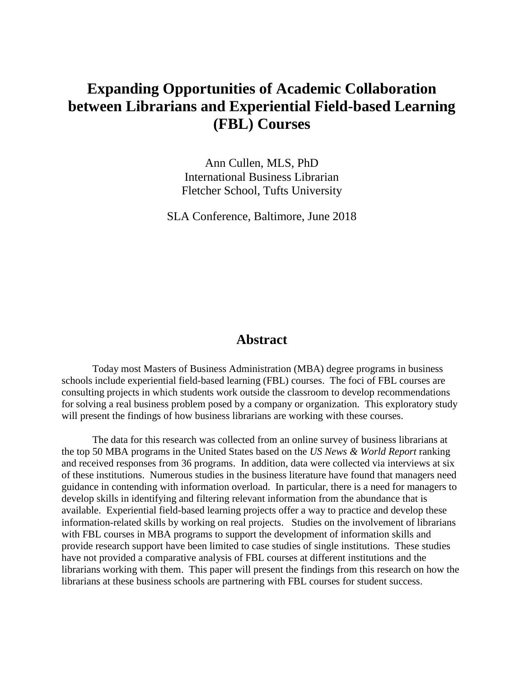# **Expanding Opportunities of Academic Collaboration between Librarians and Experiential Field-based Learning (FBL) Courses**

Ann Cullen, MLS, PhD International Business Librarian Fletcher School, Tufts University

SLA Conference, Baltimore, June 2018

## **Abstract**

Today most Masters of Business Administration (MBA) degree programs in business schools include experiential field-based learning (FBL) courses. The foci of FBL courses are consulting projects in which students work outside the classroom to develop recommendations for solving a real business problem posed by a company or organization. This exploratory study will present the findings of how business librarians are working with these courses.

The data for this research was collected from an online survey of business librarians at the top 50 MBA programs in the United States based on the *US News & World Report* ranking and received responses from 36 programs. In addition, data were collected via interviews at six of these institutions. Numerous studies in the business literature have found that managers need guidance in contending with information overload. In particular, there is a need for managers to develop skills in identifying and filtering relevant information from the abundance that is available. Experiential field-based learning projects offer a way to practice and develop these information-related skills by working on real projects. Studies on the involvement of librarians with FBL courses in MBA programs to support the development of information skills and provide research support have been limited to case studies of single institutions. These studies have not provided a comparative analysis of FBL courses at different institutions and the librarians working with them. This paper will present the findings from this research on how the librarians at these business schools are partnering with FBL courses for student success.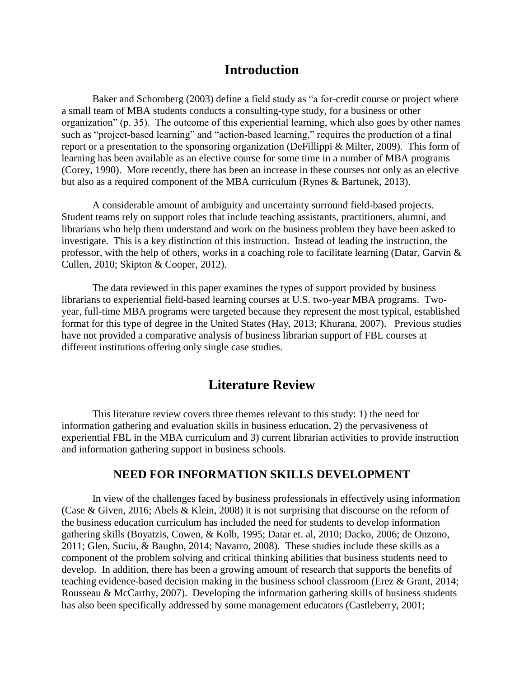# **Introduction**

Baker and Schomberg (2003) define a field study as "a for-credit course or project where a small team of MBA students conducts a consulting-type study, for a business or other organization" (p. 35). The outcome of this experiential learning, which also goes by other names such as "project-based learning" and "action-based learning," requires the production of a final report or a presentation to the sponsoring organization (DeFillippi & Milter, 2009). This form of learning has been available as an elective course for some time in a number of MBA programs (Corey, 1990). More recently, there has been an increase in these courses not only as an elective but also as a required component of the MBA curriculum (Rynes & Bartunek, 2013).

A considerable amount of ambiguity and uncertainty surround field-based projects. Student teams rely on support roles that include teaching assistants, practitioners, alumni, and librarians who help them understand and work on the business problem they have been asked to investigate. This is a key distinction of this instruction. Instead of leading the instruction, the professor, with the help of others, works in a coaching role to facilitate learning (Datar, Garvin & Cullen, 2010; Skipton & Cooper, 2012).

The data reviewed in this paper examines the types of support provided by business librarians to experiential field-based learning courses at U.S. two-year MBA programs. Twoyear, full-time MBA programs were targeted because they represent the most typical, established format for this type of degree in the United States (Hay, 2013; Khurana, 2007). Previous studies have not provided a comparative analysis of business librarian support of FBL courses at different institutions offering only single case studies.

# **Literature Review**

This literature review covers three themes relevant to this study: 1) the need for information gathering and evaluation skills in business education, 2) the pervasiveness of experiential FBL in the MBA curriculum and 3) current librarian activities to provide instruction and information gathering support in business schools.

#### **NEED FOR INFORMATION SKILLS DEVELOPMENT**

In view of the challenges faced by business professionals in effectively using information (Case & Given, 2016; Abels & Klein, 2008) it is not surprising that discourse on the reform of the business education curriculum has included the need for students to develop information gathering skills (Boyatzis, Cowen, & Kolb, 1995; Datar et. al, 2010; Dacko, 2006; de Onzono, 2011; Glen, Suciu, & Baughn, 2014; Navarro, 2008). These studies include these skills as a component of the problem solving and critical thinking abilities that business students need to develop. In addition, there has been a growing amount of research that supports the benefits of teaching evidence-based decision making in the business school classroom (Erez & Grant, 2014; Rousseau & McCarthy, 2007). Developing the information gathering skills of business students has also been specifically addressed by some management educators (Castleberry, 2001;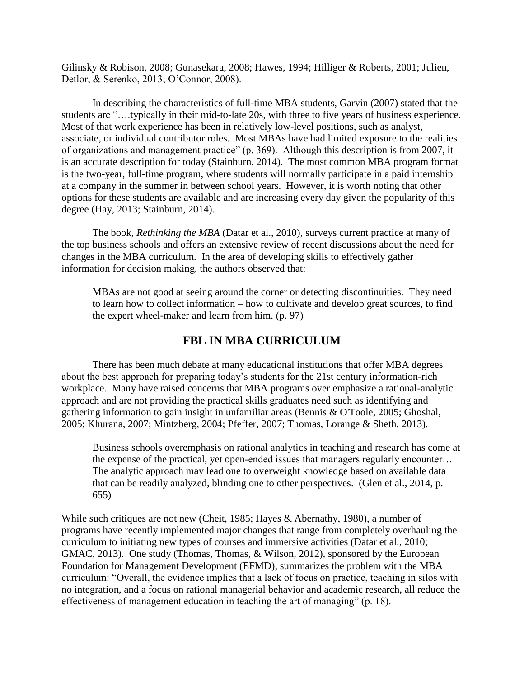Gilinsky & Robison, 2008; Gunasekara, 2008; Hawes, 1994; Hilliger & Roberts, 2001; Julien, Detlor, & Serenko, 2013; O'Connor, 2008).

In describing the characteristics of full-time MBA students, Garvin (2007) stated that the students are "….typically in their mid-to-late 20s, with three to five years of business experience. Most of that work experience has been in relatively low-level positions, such as analyst, associate, or individual contributor roles. Most MBAs have had limited exposure to the realities of organizations and management practice" (p. 369). Although this description is from 2007, it is an accurate description for today (Stainburn, 2014). The most common MBA program format is the two-year, full-time program, where students will normally participate in a paid internship at a company in the summer in between school years. However, it is worth noting that other options for these students are available and are increasing every day given the popularity of this degree (Hay, 2013; Stainburn, 2014).

The book, *Rethinking the MBA* (Datar et al., 2010), surveys current practice at many of the top business schools and offers an extensive review of recent discussions about the need for changes in the MBA curriculum. In the area of developing skills to effectively gather information for decision making, the authors observed that:

MBAs are not good at seeing around the corner or detecting discontinuities. They need to learn how to collect information – how to cultivate and develop great sources, to find the expert wheel-maker and learn from him. (p. 97)

## **FBL IN MBA CURRICULUM**

There has been much debate at many educational institutions that offer MBA degrees about the best approach for preparing today's students for the 21st century information-rich workplace. Many have raised concerns that MBA programs over emphasize a rational-analytic approach and are not providing the practical skills graduates need such as identifying and gathering information to gain insight in unfamiliar areas (Bennis & O'Toole, 2005; Ghoshal, 2005; Khurana, 2007; Mintzberg, 2004; Pfeffer, 2007; Thomas, Lorange & Sheth, 2013).

Business schools overemphasis on rational analytics in teaching and research has come at the expense of the practical, yet open-ended issues that managers regularly encounter… The analytic approach may lead one to overweight knowledge based on available data that can be readily analyzed, blinding one to other perspectives. (Glen et al., 2014, p. 655)

While such critiques are not new (Cheit, 1985; Hayes & Abernathy, 1980), a number of programs have recently implemented major changes that range from completely overhauling the curriculum to initiating new types of courses and immersive activities (Datar et al., 2010; GMAC, 2013). One study (Thomas, Thomas, & Wilson, 2012), sponsored by the European Foundation for Management Development (EFMD), summarizes the problem with the MBA curriculum: "Overall, the evidence implies that a lack of focus on practice, teaching in silos with no integration, and a focus on rational managerial behavior and academic research, all reduce the effectiveness of management education in teaching the art of managing" (p. 18).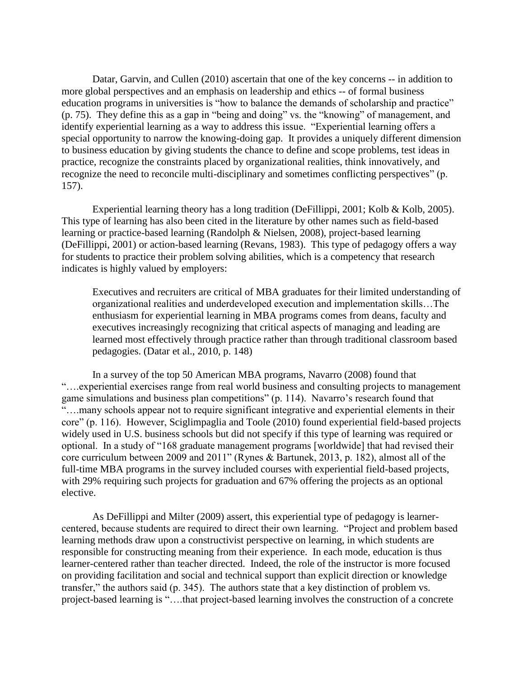Datar, Garvin, and Cullen (2010) ascertain that one of the key concerns -- in addition to more global perspectives and an emphasis on leadership and ethics -- of formal business education programs in universities is "how to balance the demands of scholarship and practice" (p. 75). They define this as a gap in "being and doing" vs. the "knowing" of management, and identify experiential learning as a way to address this issue. "Experiential learning offers a special opportunity to narrow the knowing-doing gap. It provides a uniquely different dimension to business education by giving students the chance to define and scope problems, test ideas in practice, recognize the constraints placed by organizational realities, think innovatively, and recognize the need to reconcile multi-disciplinary and sometimes conflicting perspectives" (p. 157).

Experiential learning theory has a long tradition (DeFillippi, 2001; Kolb & Kolb, 2005). This type of learning has also been cited in the literature by other names such as field-based learning or practice-based learning (Randolph & Nielsen, 2008), project-based learning (DeFillippi, 2001) or action-based learning (Revans, 1983). This type of pedagogy offers a way for students to practice their problem solving abilities, which is a competency that research indicates is highly valued by employers:

Executives and recruiters are critical of MBA graduates for their limited understanding of organizational realities and underdeveloped execution and implementation skills…The enthusiasm for experiential learning in MBA programs comes from deans, faculty and executives increasingly recognizing that critical aspects of managing and leading are learned most effectively through practice rather than through traditional classroom based pedagogies. (Datar et al., 2010, p. 148)

In a survey of the top 50 American MBA programs, Navarro (2008) found that "….experiential exercises range from real world business and consulting projects to management game simulations and business plan competitions" (p. 114). Navarro's research found that "….many schools appear not to require significant integrative and experiential elements in their core" (p. 116). However, Sciglimpaglia and Toole (2010) found experiential field-based projects widely used in U.S. business schools but did not specify if this type of learning was required or optional. In a study of "168 graduate management programs [worldwide] that had revised their core curriculum between 2009 and 2011" (Rynes & Bartunek, 2013, p. 182), almost all of the full-time MBA programs in the survey included courses with experiential field-based projects, with 29% requiring such projects for graduation and 67% offering the projects as an optional elective.

As DeFillippi and Milter (2009) assert, this experiential type of pedagogy is learnercentered, because students are required to direct their own learning. "Project and problem based learning methods draw upon a constructivist perspective on learning, in which students are responsible for constructing meaning from their experience. In each mode, education is thus learner-centered rather than teacher directed. Indeed, the role of the instructor is more focused on providing facilitation and social and technical support than explicit direction or knowledge transfer," the authors said (p. 345). The authors state that a key distinction of problem vs. project-based learning is "….that project-based learning involves the construction of a concrete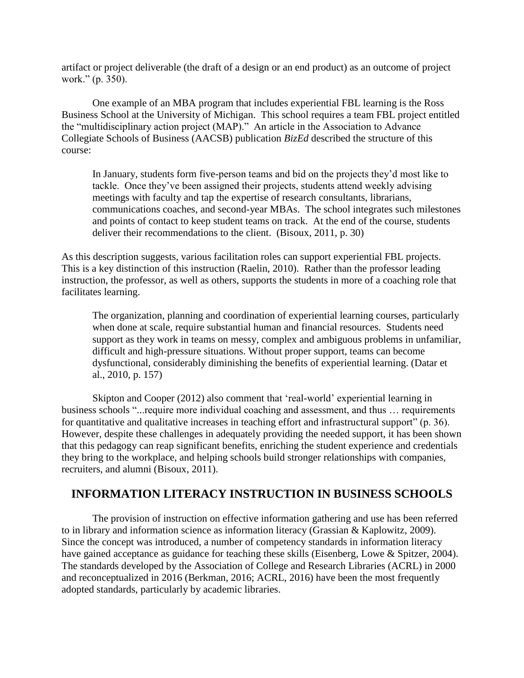artifact or project deliverable (the draft of a design or an end product) as an outcome of project work." (p. 350).

One example of an MBA program that includes experiential FBL learning is the Ross Business School at the University of Michigan. This school requires a team FBL project entitled the "multidisciplinary action project (MAP)." An article in the Association to Advance Collegiate Schools of Business (AACSB) publication *BizEd* described the structure of this course:

In January, students form five-person teams and bid on the projects they'd most like to tackle. Once they've been assigned their projects, students attend weekly advising meetings with faculty and tap the expertise of research consultants, librarians, communications coaches, and second-year MBAs. The school integrates such milestones and points of contact to keep student teams on track. At the end of the course, students deliver their recommendations to the client. (Bisoux, 2011, p. 30)

As this description suggests, various facilitation roles can support experiential FBL projects. This is a key distinction of this instruction (Raelin, 2010). Rather than the professor leading instruction, the professor, as well as others, supports the students in more of a coaching role that facilitates learning.

The organization, planning and coordination of experiential learning courses, particularly when done at scale, require substantial human and financial resources. Students need support as they work in teams on messy, complex and ambiguous problems in unfamiliar, difficult and high-pressure situations. Without proper support, teams can become dysfunctional, considerably diminishing the benefits of experiential learning. (Datar et al., 2010, p. 157)

Skipton and Cooper (2012) also comment that 'real-world' experiential learning in business schools "...require more individual coaching and assessment, and thus … requirements for quantitative and qualitative increases in teaching effort and infrastructural support" (p. 36). However, despite these challenges in adequately providing the needed support, it has been shown that this pedagogy can reap significant benefits, enriching the student experience and credentials they bring to the workplace, and helping schools build stronger relationships with companies, recruiters, and alumni (Bisoux, 2011).

## **INFORMATION LITERACY INSTRUCTION IN BUSINESS SCHOOLS**

The provision of instruction on effective information gathering and use has been referred to in library and information science as information literacy (Grassian & Kaplowitz, 2009). Since the concept was introduced, a number of competency standards in information literacy have gained acceptance as guidance for teaching these skills (Eisenberg, Lowe & Spitzer, 2004). The standards developed by the Association of College and Research Libraries (ACRL) in 2000 and reconceptualized in 2016 (Berkman, 2016; ACRL, 2016) have been the most frequently adopted standards, particularly by academic libraries.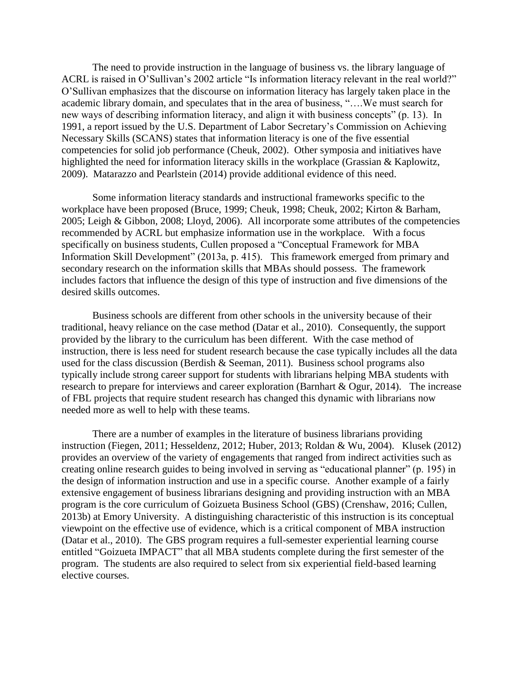The need to provide instruction in the language of business vs. the library language of ACRL is raised in O'Sullivan's 2002 article "Is information literacy relevant in the real world?" O'Sullivan emphasizes that the discourse on information literacy has largely taken place in the academic library domain, and speculates that in the area of business, "….We must search for new ways of describing information literacy, and align it with business concepts" (p. 13). In 1991, a report issued by the U.S. Department of Labor Secretary's Commission on Achieving Necessary Skills (SCANS) states that information literacy is one of the five essential competencies for solid job performance (Cheuk, 2002). Other symposia and initiatives have highlighted the need for information literacy skills in the workplace (Grassian & Kaplowitz, 2009). Matarazzo and Pearlstein (2014) provide additional evidence of this need.

Some information literacy standards and instructional frameworks specific to the workplace have been proposed (Bruce, 1999; Cheuk, 1998; Cheuk, 2002; Kirton & Barham, 2005; Leigh & Gibbon, 2008; Lloyd, 2006). All incorporate some attributes of the competencies recommended by ACRL but emphasize information use in the workplace. With a focus specifically on business students, Cullen proposed a "Conceptual Framework for MBA Information Skill Development" (2013a, p. 415). This framework emerged from primary and secondary research on the information skills that MBAs should possess. The framework includes factors that influence the design of this type of instruction and five dimensions of the desired skills outcomes.

Business schools are different from other schools in the university because of their traditional, heavy reliance on the case method (Datar et al., 2010). Consequently, the support provided by the library to the curriculum has been different. With the case method of instruction, there is less need for student research because the case typically includes all the data used for the class discussion (Berdish & Seeman, 2011). Business school programs also typically include strong career support for students with librarians helping MBA students with research to prepare for interviews and career exploration (Barnhart & Ogur, 2014). The increase of FBL projects that require student research has changed this dynamic with librarians now needed more as well to help with these teams.

There are a number of examples in the literature of business librarians providing instruction (Fiegen, 2011; Hesseldenz, 2012; Huber, 2013; Roldan & Wu, 2004). Klusek (2012) provides an overview of the variety of engagements that ranged from indirect activities such as creating online research guides to being involved in serving as "educational planner" (p. 195) in the design of information instruction and use in a specific course. Another example of a fairly extensive engagement of business librarians designing and providing instruction with an MBA program is the core curriculum of Goizueta Business School (GBS) (Crenshaw, 2016; Cullen, 2013b) at Emory University. A distinguishing characteristic of this instruction is its conceptual viewpoint on the effective use of evidence, which is a critical component of MBA instruction (Datar et al., 2010). The GBS program requires a full-semester experiential learning course entitled "Goizueta IMPACT" that all MBA students complete during the first semester of the program. The students are also required to select from six experiential field-based learning elective courses.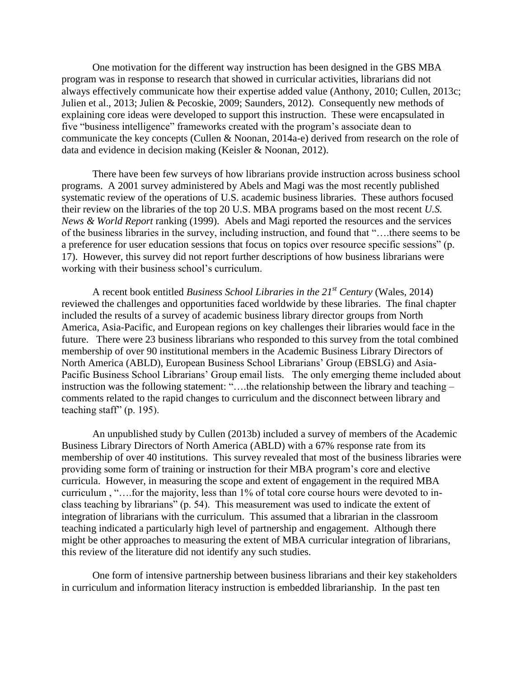One motivation for the different way instruction has been designed in the GBS MBA program was in response to research that showed in curricular activities, librarians did not always effectively communicate how their expertise added value (Anthony, 2010; Cullen, 2013c; Julien et al., 2013; Julien & Pecoskie, 2009; Saunders, 2012). Consequently new methods of explaining core ideas were developed to support this instruction. These were encapsulated in five "business intelligence" frameworks created with the program's associate dean to communicate the key concepts (Cullen & Noonan, 2014a-e) derived from research on the role of data and evidence in decision making (Keisler & Noonan, 2012).

There have been few surveys of how librarians provide instruction across business school programs. A 2001 survey administered by Abels and Magi was the most recently published systematic review of the operations of U.S. academic business libraries. These authors focused their review on the libraries of the top 20 U.S. MBA programs based on the most recent *U.S. News & World Report* ranking (1999). Abels and Magi reported the resources and the services of the business libraries in the survey, including instruction, and found that "….there seems to be a preference for user education sessions that focus on topics over resource specific sessions" (p. 17). However, this survey did not report further descriptions of how business librarians were working with their business school's curriculum.

A recent book entitled *Business School Libraries in the 21st Century* (Wales, 2014) reviewed the challenges and opportunities faced worldwide by these libraries. The final chapter included the results of a survey of academic business library director groups from North America, Asia-Pacific, and European regions on key challenges their libraries would face in the future. There were 23 business librarians who responded to this survey from the total combined membership of over 90 institutional members in the Academic Business Library Directors of North America (ABLD), European Business School Librarians' Group (EBSLG) and Asia-Pacific Business School Librarians' Group email lists. The only emerging theme included about instruction was the following statement: "….the relationship between the library and teaching – comments related to the rapid changes to curriculum and the disconnect between library and teaching staff" (p. 195).

An unpublished study by Cullen (2013b) included a survey of members of the Academic Business Library Directors of North America (ABLD) with a 67% response rate from its membership of over 40 institutions. This survey revealed that most of the business libraries were providing some form of training or instruction for their MBA program's core and elective curricula. However, in measuring the scope and extent of engagement in the required MBA curriculum , "….for the majority, less than 1% of total core course hours were devoted to inclass teaching by librarians" (p. 54). This measurement was used to indicate the extent of integration of librarians with the curriculum. This assumed that a librarian in the classroom teaching indicated a particularly high level of partnership and engagement. Although there might be other approaches to measuring the extent of MBA curricular integration of librarians, this review of the literature did not identify any such studies.

One form of intensive partnership between business librarians and their key stakeholders in curriculum and information literacy instruction is embedded librarianship. In the past ten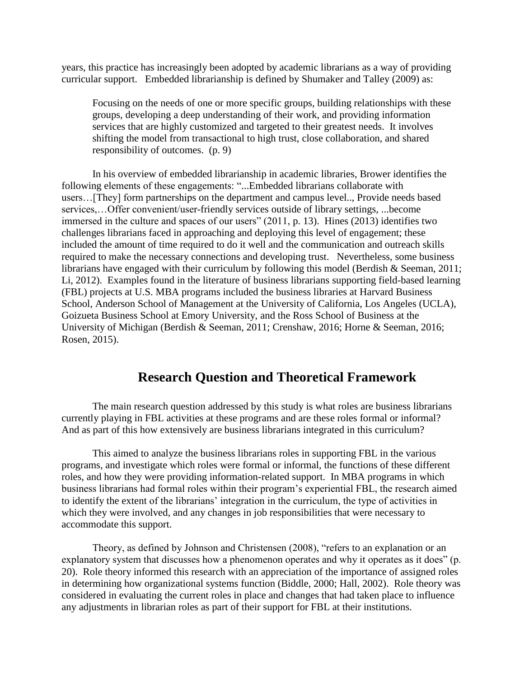years, this practice has increasingly been adopted by academic librarians as a way of providing curricular support. Embedded librarianship is defined by Shumaker and Talley (2009) as:

Focusing on the needs of one or more specific groups, building relationships with these groups, developing a deep understanding of their work, and providing information services that are highly customized and targeted to their greatest needs. It involves shifting the model from transactional to high trust, close collaboration, and shared responsibility of outcomes. (p. 9)

In his overview of embedded librarianship in academic libraries, Brower identifies the following elements of these engagements: "...Embedded librarians collaborate with users…[They] form partnerships on the department and campus level.., Provide needs based services,…Offer convenient/user-friendly services outside of library settings, ...become immersed in the culture and spaces of our users" (2011, p. 13). Hines (2013) identifies two challenges librarians faced in approaching and deploying this level of engagement; these included the amount of time required to do it well and the communication and outreach skills required to make the necessary connections and developing trust. Nevertheless, some business librarians have engaged with their curriculum by following this model (Berdish & Seeman, 2011; Li, 2012). Examples found in the literature of business librarians supporting field-based learning (FBL) projects at U.S. MBA programs included the business libraries at Harvard Business School, Anderson School of Management at the University of California, Los Angeles (UCLA), Goizueta Business School at Emory University, and the Ross School of Business at the University of Michigan (Berdish & Seeman, 2011; Crenshaw, 2016; Horne & Seeman, 2016; Rosen, 2015).

# **Research Question and Theoretical Framework**

The main research question addressed by this study is what roles are business librarians currently playing in FBL activities at these programs and are these roles formal or informal? And as part of this how extensively are business librarians integrated in this curriculum?

This aimed to analyze the business librarians roles in supporting FBL in the various programs, and investigate which roles were formal or informal, the functions of these different roles, and how they were providing information-related support. In MBA programs in which business librarians had formal roles within their program's experiential FBL, the research aimed to identify the extent of the librarians' integration in the curriculum, the type of activities in which they were involved, and any changes in job responsibilities that were necessary to accommodate this support.

Theory, as defined by Johnson and Christensen (2008), "refers to an explanation or an explanatory system that discusses how a phenomenon operates and why it operates as it does" (p. 20). Role theory informed this research with an appreciation of the importance of assigned roles in determining how organizational systems function (Biddle, 2000; Hall, 2002). Role theory was considered in evaluating the current roles in place and changes that had taken place to influence any adjustments in librarian roles as part of their support for FBL at their institutions.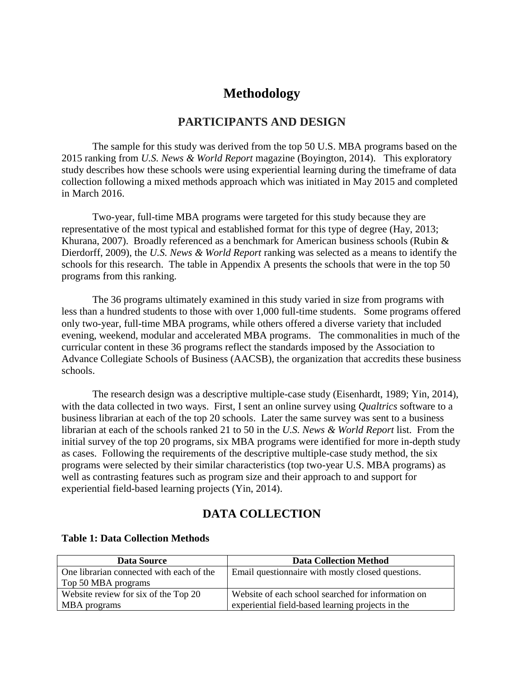# **Methodology**

#### **PARTICIPANTS AND DESIGN**

The sample for this study was derived from the top 50 U.S. MBA programs based on the 2015 ranking from *U.S. News & World Report* magazine (Boyington, 2014). This exploratory study describes how these schools were using experiential learning during the timeframe of data collection following a mixed methods approach which was initiated in May 2015 and completed in March 2016.

Two-year, full-time MBA programs were targeted for this study because they are representative of the most typical and established format for this type of degree (Hay, 2013; Khurana, 2007). Broadly referenced as a benchmark for American business schools (Rubin & Dierdorff, 2009), the *U.S. News & World Report* ranking was selected as a means to identify the schools for this research. The table in Appendix A presents the schools that were in the top 50 programs from this ranking.

The 36 programs ultimately examined in this study varied in size from programs with less than a hundred students to those with over 1,000 full-time students. Some programs offered only two-year, full-time MBA programs, while others offered a diverse variety that included evening, weekend, modular and accelerated MBA programs. The commonalities in much of the curricular content in these 36 programs reflect the standards imposed by the Association to Advance Collegiate Schools of Business (AACSB), the organization that accredits these business schools.

The research design was a descriptive multiple-case study (Eisenhardt, 1989; Yin, 2014), with the data collected in two ways. First, I sent an online survey using *Qualtrics* software to a business librarian at each of the top 20 schools. Later the same survey was sent to a business librarian at each of the schools ranked 21 to 50 in the *U.S. News & World Report* list. From the initial survey of the top 20 programs, six MBA programs were identified for more in-depth study as cases. Following the requirements of the descriptive multiple-case study method, the six programs were selected by their similar characteristics (top two-year U.S. MBA programs) as well as contrasting features such as program size and their approach to and support for experiential field-based learning projects (Yin, 2014).

## **DATA COLLECTION**

| Data Source                              | <b>Data Collection Method</b>                      |
|------------------------------------------|----------------------------------------------------|
| One librarian connected with each of the | Email questionnaire with mostly closed questions.  |
| Top 50 MBA programs                      |                                                    |
| Website review for six of the Top 20     | Website of each school searched for information on |
| MBA programs                             | experiential field-based learning projects in the  |

#### **Table 1: Data Collection Methods**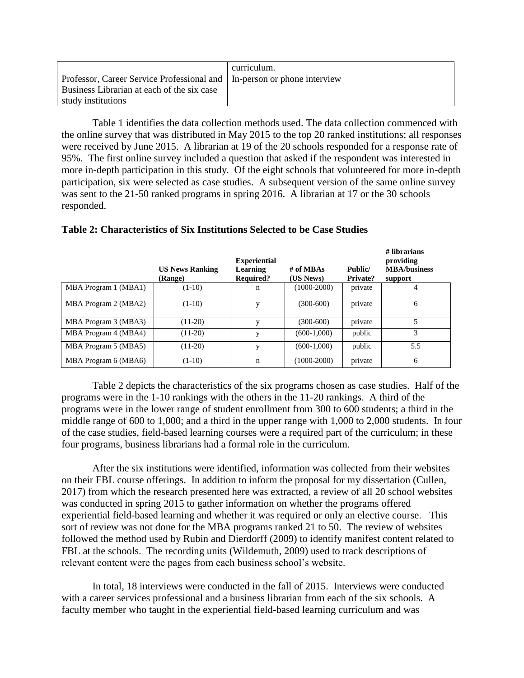|                                                                           | curriculum. |
|---------------------------------------------------------------------------|-------------|
| Professor, Career Service Professional and   In-person or phone interview |             |
| Business Librarian at each of the six case                                |             |
| study institutions                                                        |             |

Table 1 identifies the data collection methods used. The data collection commenced with the online survey that was distributed in May 2015 to the top 20 ranked institutions; all responses were received by June 2015. A librarian at 19 of the 20 schools responded for a response rate of 95%. The first online survey included a question that asked if the respondent was interested in more in-depth participation in this study. Of the eight schools that volunteered for more in-depth participation, six were selected as case studies. A subsequent version of the same online survey was sent to the 21-50 ranked programs in spring 2016. A librarian at 17 or the 30 schools responded.

|                      | <b>US News Ranking</b><br>(Range) | <b>Experiential</b><br><b>Learning</b><br><b>Required?</b> | # of MBAs<br>(US News) | Public/<br>Private? | # librarians<br>providing<br><b>MBA/business</b><br>support |
|----------------------|-----------------------------------|------------------------------------------------------------|------------------------|---------------------|-------------------------------------------------------------|
| MBA Program 1 (MBA1) | $(1-10)$                          | n                                                          | $(1000-2000)$          | private             | 4                                                           |
| MBA Program 2 (MBA2) | $(1-10)$                          | V                                                          | $(300-600)$            | private             | 6                                                           |
| MBA Program 3 (MBA3) | $(11-20)$                         | V                                                          | $(300 - 600)$          | private             | 5                                                           |
| MBA Program 4 (MBA4) | $(11-20)$                         | V                                                          | $(600-1,000)$          | public              | 3                                                           |
| MBA Program 5 (MBA5) | $(11-20)$                         | v                                                          | $(600-1,000)$          | public              | 5.5                                                         |
| MBA Program 6 (MBA6) | $(1-10)$                          | n                                                          | $(1000-2000)$          | private             | -6                                                          |

#### **Table 2: Characteristics of Six Institutions Selected to be Case Studies**

Table 2 depicts the characteristics of the six programs chosen as case studies. Half of the programs were in the 1-10 rankings with the others in the 11-20 rankings. A third of the programs were in the lower range of student enrollment from 300 to 600 students; a third in the middle range of 600 to 1,000; and a third in the upper range with 1,000 to 2,000 students. In four of the case studies, field-based learning courses were a required part of the curriculum; in these four programs, business librarians had a formal role in the curriculum.

After the six institutions were identified, information was collected from their websites on their FBL course offerings. In addition to inform the proposal for my dissertation (Cullen, 2017) from which the research presented here was extracted, a review of all 20 school websites was conducted in spring 2015 to gather information on whether the programs offered experiential field-based learning and whether it was required or only an elective course. This sort of review was not done for the MBA programs ranked 21 to 50. The review of websites followed the method used by Rubin and Dierdorff (2009) to identify manifest content related to FBL at the schools. The recording units (Wildemuth, 2009) used to track descriptions of relevant content were the pages from each business school's website.

In total, 18 interviews were conducted in the fall of 2015. Interviews were conducted with a career services professional and a business librarian from each of the six schools. A faculty member who taught in the experiential field-based learning curriculum and was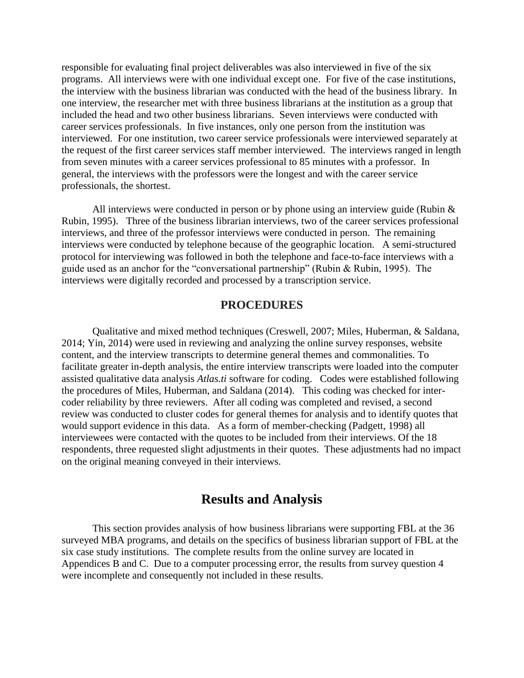responsible for evaluating final project deliverables was also interviewed in five of the six programs. All interviews were with one individual except one. For five of the case institutions, the interview with the business librarian was conducted with the head of the business library. In one interview, the researcher met with three business librarians at the institution as a group that included the head and two other business librarians. Seven interviews were conducted with career services professionals. In five instances, only one person from the institution was interviewed. For one institution, two career service professionals were interviewed separately at the request of the first career services staff member interviewed. The interviews ranged in length from seven minutes with a career services professional to 85 minutes with a professor. In general, the interviews with the professors were the longest and with the career service professionals, the shortest.

All interviews were conducted in person or by phone using an interview guide (Rubin & Rubin, 1995). Three of the business librarian interviews, two of the career services professional interviews, and three of the professor interviews were conducted in person. The remaining interviews were conducted by telephone because of the geographic location. A semi-structured protocol for interviewing was followed in both the telephone and face-to-face interviews with a guide used as an anchor for the "conversational partnership" (Rubin & Rubin, 1995). The interviews were digitally recorded and processed by a transcription service.

#### **PROCEDURES**

Qualitative and mixed method techniques (Creswell, 2007; Miles, Huberman, & Saldana, 2014; Yin, 2014) were used in reviewing and analyzing the online survey responses, website content, and the interview transcripts to determine general themes and commonalities. To facilitate greater in-depth analysis, the entire interview transcripts were loaded into the computer assisted qualitative data analysis *Atlas.ti* software for coding. Codes were established following the procedures of Miles, Huberman, and Saldana (2014). This coding was checked for intercoder reliability by three reviewers. After all coding was completed and revised, a second review was conducted to cluster codes for general themes for analysis and to identify quotes that would support evidence in this data. As a form of member-checking (Padgett, 1998) all interviewees were contacted with the quotes to be included from their interviews. Of the 18 respondents, three requested slight adjustments in their quotes. These adjustments had no impact on the original meaning conveyed in their interviews.

# **Results and Analysis**

This section provides analysis of how business librarians were supporting FBL at the 36 surveyed MBA programs, and details on the specifics of business librarian support of FBL at the six case study institutions. The complete results from the online survey are located in Appendices B and C. Due to a computer processing error, the results from survey question 4 were incomplete and consequently not included in these results.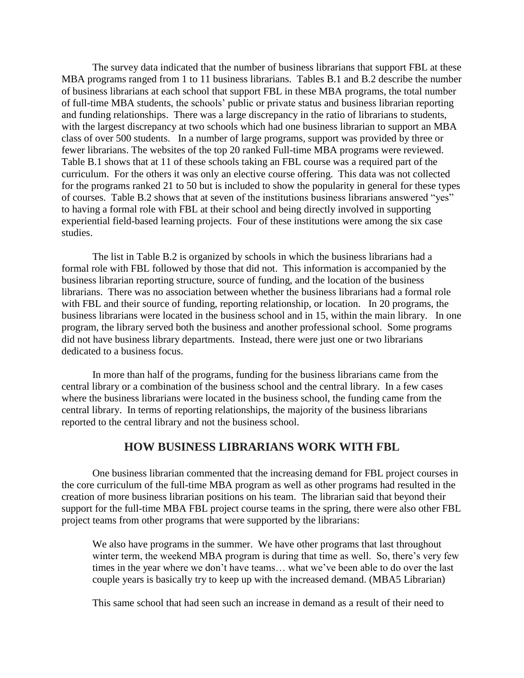The survey data indicated that the number of business librarians that support FBL at these MBA programs ranged from 1 to 11 business librarians. Tables B.1 and B.2 describe the number of business librarians at each school that support FBL in these MBA programs, the total number of full-time MBA students, the schools' public or private status and business librarian reporting and funding relationships. There was a large discrepancy in the ratio of librarians to students, with the largest discrepancy at two schools which had one business librarian to support an MBA class of over 500 students. In a number of large programs, support was provided by three or fewer librarians. The websites of the top 20 ranked Full-time MBA programs were reviewed. Table B.1 shows that at 11 of these schools taking an FBL course was a required part of the curriculum. For the others it was only an elective course offering. This data was not collected for the programs ranked 21 to 50 but is included to show the popularity in general for these types of courses. Table B.2 shows that at seven of the institutions business librarians answered "yes" to having a formal role with FBL at their school and being directly involved in supporting experiential field-based learning projects. Four of these institutions were among the six case studies.

The list in Table B.2 is organized by schools in which the business librarians had a formal role with FBL followed by those that did not. This information is accompanied by the business librarian reporting structure, source of funding, and the location of the business librarians. There was no association between whether the business librarians had a formal role with FBL and their source of funding, reporting relationship, or location. In 20 programs, the business librarians were located in the business school and in 15, within the main library. In one program, the library served both the business and another professional school. Some programs did not have business library departments. Instead, there were just one or two librarians dedicated to a business focus.

In more than half of the programs, funding for the business librarians came from the central library or a combination of the business school and the central library. In a few cases where the business librarians were located in the business school, the funding came from the central library. In terms of reporting relationships, the majority of the business librarians reported to the central library and not the business school.

#### **HOW BUSINESS LIBRARIANS WORK WITH FBL**

One business librarian commented that the increasing demand for FBL project courses in the core curriculum of the full-time MBA program as well as other programs had resulted in the creation of more business librarian positions on his team. The librarian said that beyond their support for the full-time MBA FBL project course teams in the spring, there were also other FBL project teams from other programs that were supported by the librarians:

We also have programs in the summer. We have other programs that last throughout winter term, the weekend MBA program is during that time as well. So, there's very few times in the year where we don't have teams… what we've been able to do over the last couple years is basically try to keep up with the increased demand. (MBA5 Librarian)

This same school that had seen such an increase in demand as a result of their need to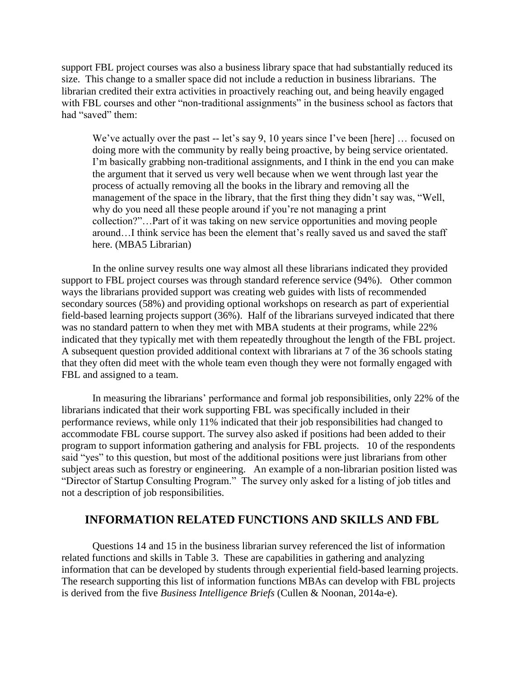support FBL project courses was also a business library space that had substantially reduced its size. This change to a smaller space did not include a reduction in business librarians. The librarian credited their extra activities in proactively reaching out, and being heavily engaged with FBL courses and other "non-traditional assignments" in the business school as factors that had "saved" them:

We've actually over the past -- let's say 9, 10 years since I've been [here] ... focused on doing more with the community by really being proactive, by being service orientated. I'm basically grabbing non-traditional assignments, and I think in the end you can make the argument that it served us very well because when we went through last year the process of actually removing all the books in the library and removing all the management of the space in the library, that the first thing they didn't say was, "Well, why do you need all these people around if you're not managing a print collection?"…Part of it was taking on new service opportunities and moving people around…I think service has been the element that's really saved us and saved the staff here. (MBA5 Librarian)

In the online survey results one way almost all these librarians indicated they provided support to FBL project courses was through standard reference service (94%). Other common ways the librarians provided support was creating web guides with lists of recommended secondary sources (58%) and providing optional workshops on research as part of experiential field-based learning projects support (36%). Half of the librarians surveyed indicated that there was no standard pattern to when they met with MBA students at their programs, while 22% indicated that they typically met with them repeatedly throughout the length of the FBL project. A subsequent question provided additional context with librarians at 7 of the 36 schools stating that they often did meet with the whole team even though they were not formally engaged with FBL and assigned to a team.

In measuring the librarians' performance and formal job responsibilities, only 22% of the librarians indicated that their work supporting FBL was specifically included in their performance reviews, while only 11% indicated that their job responsibilities had changed to accommodate FBL course support. The survey also asked if positions had been added to their program to support information gathering and analysis for FBL projects. 10 of the respondents said "yes" to this question, but most of the additional positions were just librarians from other subject areas such as forestry or engineering. An example of a non-librarian position listed was "Director of Startup Consulting Program." The survey only asked for a listing of job titles and not a description of job responsibilities.

## **INFORMATION RELATED FUNCTIONS AND SKILLS AND FBL**

Questions 14 and 15 in the business librarian survey referenced the list of information related functions and skills in Table 3.These are capabilities in gathering and analyzing information that can be developed by students through experiential field-based learning projects. The research supporting this list of information functions MBAs can develop with FBL projects is derived from the five *Business Intelligence Briefs* (Cullen & Noonan, 2014a-e).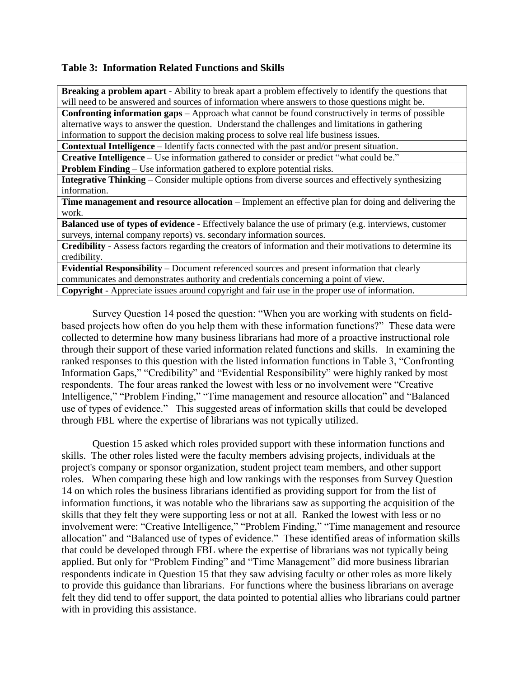#### **Table 3: Information Related Functions and Skills**

**Breaking a problem apart** - Ability to break apart a problem effectively to identify the questions that will need to be answered and sources of information where answers to those questions might be.

**Confronting information gaps** – Approach what cannot be found constructively in terms of possible alternative ways to answer the question. Understand the challenges and limitations in gathering information to support the decision making process to solve real life business issues.

**Contextual Intelligence** – Identify facts connected with the past and/or present situation.

**Creative Intelligence** – Use information gathered to consider or predict "what could be."

**Problem Finding** – Use information gathered to explore potential risks.

**Integrative Thinking** – Consider multiple options from diverse sources and effectively synthesizing information.

**Time management and resource allocation** – Implement an effective plan for doing and delivering the work.

**Balanced use of types of evidence** - Effectively balance the use of primary (e.g. interviews, customer surveys, internal company reports) vs. secondary information sources.

**Credibility** - Assess factors regarding the creators of information and their motivations to determine its credibility.

**Evidential Responsibility** – Document referenced sources and present information that clearly communicates and demonstrates authority and credentials concerning a point of view. **Copyright** - Appreciate issues around copyright and fair use in the proper use of information.

Survey Question 14 posed the question: "When you are working with students on fieldbased projects how often do you help them with these information functions?" These data were collected to determine how many business librarians had more of a proactive instructional role through their support of these varied information related functions and skills. In examining the ranked responses to this question with the listed information functions in Table 3, "Confronting Information Gaps," "Credibility" and "Evidential Responsibility" were highly ranked by most respondents. The four areas ranked the lowest with less or no involvement were "Creative Intelligence," "Problem Finding," "Time management and resource allocation" and "Balanced use of types of evidence." This suggested areas of information skills that could be developed through FBL where the expertise of librarians was not typically utilized.

Question 15 asked which roles provided support with these information functions and skills. The other roles listed were the faculty members advising projects, individuals at the project's company or sponsor organization, student project team members, and other support roles.When comparing these high and low rankings with the responses from Survey Question 14 on which roles the business librarians identified as providing support for from the list of information functions, it was notable who the librarians saw as supporting the acquisition of the skills that they felt they were supporting less or not at all. Ranked the lowest with less or no involvement were: "Creative Intelligence," "Problem Finding," "Time management and resource allocation" and "Balanced use of types of evidence." These identified areas of information skills that could be developed through FBL where the expertise of librarians was not typically being applied. But only for "Problem Finding" and "Time Management" did more business librarian respondents indicate in Question 15 that they saw advising faculty or other roles as more likely to provide this guidance than librarians. For functions where the business librarians on average felt they did tend to offer support, the data pointed to potential allies who librarians could partner with in providing this assistance.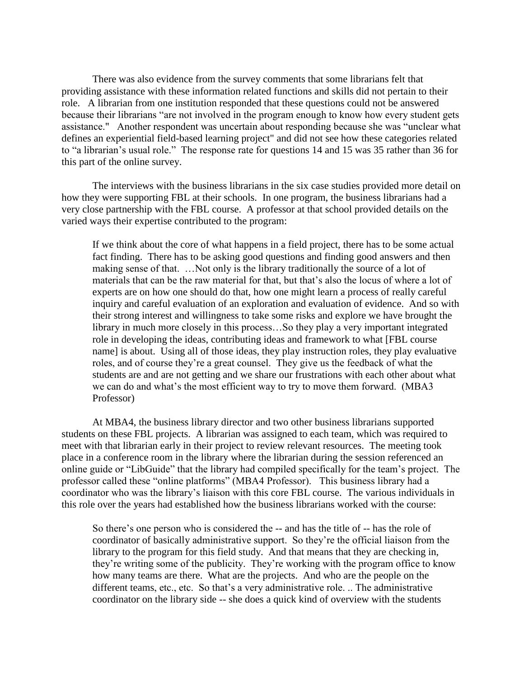There was also evidence from the survey comments that some librarians felt that providing assistance with these information related functions and skills did not pertain to their role. A librarian from one institution responded that these questions could not be answered because their librarians "are not involved in the program enough to know how every student gets assistance." Another respondent was uncertain about responding because she was "unclear what defines an experiential field-based learning project" and did not see how these categories related to "a librarian's usual role." The response rate for questions 14 and 15 was 35 rather than 36 for this part of the online survey.

The interviews with the business librarians in the six case studies provided more detail on how they were supporting FBL at their schools. In one program, the business librarians had a very close partnership with the FBL course. A professor at that school provided details on the varied ways their expertise contributed to the program:

If we think about the core of what happens in a field project, there has to be some actual fact finding. There has to be asking good questions and finding good answers and then making sense of that. …Not only is the library traditionally the source of a lot of materials that can be the raw material for that, but that's also the locus of where a lot of experts are on how one should do that, how one might learn a process of really careful inquiry and careful evaluation of an exploration and evaluation of evidence. And so with their strong interest and willingness to take some risks and explore we have brought the library in much more closely in this process…So they play a very important integrated role in developing the ideas, contributing ideas and framework to what [FBL course name] is about. Using all of those ideas, they play instruction roles, they play evaluative roles, and of course they're a great counsel. They give us the feedback of what the students are and are not getting and we share our frustrations with each other about what we can do and what's the most efficient way to try to move them forward. (MBA3 Professor)

At MBA4, the business library director and two other business librarians supported students on these FBL projects. A librarian was assigned to each team, which was required to meet with that librarian early in their project to review relevant resources. The meeting took place in a conference room in the library where the librarian during the session referenced an online guide or "LibGuide" that the library had compiled specifically for the team's project. The professor called these "online platforms" (MBA4 Professor). This business library had a coordinator who was the library's liaison with this core FBL course. The various individuals in this role over the years had established how the business librarians worked with the course:

So there's one person who is considered the -- and has the title of -- has the role of coordinator of basically administrative support. So they're the official liaison from the library to the program for this field study. And that means that they are checking in, they're writing some of the publicity. They're working with the program office to know how many teams are there. What are the projects. And who are the people on the different teams, etc., etc. So that's a very administrative role. .. The administrative coordinator on the library side -- she does a quick kind of overview with the students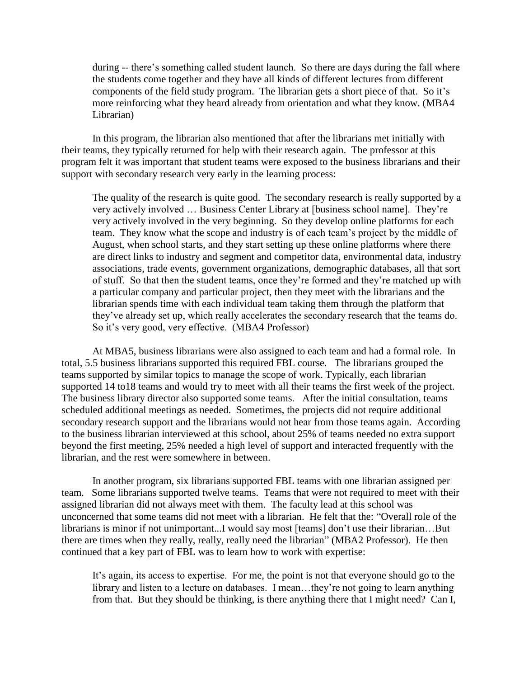during -- there's something called student launch. So there are days during the fall where the students come together and they have all kinds of different lectures from different components of the field study program. The librarian gets a short piece of that. So it's more reinforcing what they heard already from orientation and what they know. (MBA4 Librarian)

In this program, the librarian also mentioned that after the librarians met initially with their teams, they typically returned for help with their research again. The professor at this program felt it was important that student teams were exposed to the business librarians and their support with secondary research very early in the learning process:

The quality of the research is quite good. The secondary research is really supported by a very actively involved … Business Center Library at [business school name]. They're very actively involved in the very beginning. So they develop online platforms for each team. They know what the scope and industry is of each team's project by the middle of August, when school starts, and they start setting up these online platforms where there are direct links to industry and segment and competitor data, environmental data, industry associations, trade events, government organizations, demographic databases, all that sort of stuff. So that then the student teams, once they're formed and they're matched up with a particular company and particular project, then they meet with the librarians and the librarian spends time with each individual team taking them through the platform that they've already set up, which really accelerates the secondary research that the teams do. So it's very good, very effective. (MBA4 Professor)

At MBA5, business librarians were also assigned to each team and had a formal role. In total, 5.5 business librarians supported this required FBL course. The librarians grouped the teams supported by similar topics to manage the scope of work. Typically, each librarian supported 14 to18 teams and would try to meet with all their teams the first week of the project. The business library director also supported some teams. After the initial consultation, teams scheduled additional meetings as needed. Sometimes, the projects did not require additional secondary research support and the librarians would not hear from those teams again. According to the business librarian interviewed at this school, about 25% of teams needed no extra support beyond the first meeting, 25% needed a high level of support and interacted frequently with the librarian, and the rest were somewhere in between.

In another program, six librarians supported FBL teams with one librarian assigned per team. Some librarians supported twelve teams. Teams that were not required to meet with their assigned librarian did not always meet with them. The faculty lead at this school was unconcerned that some teams did not meet with a librarian. He felt that the: "Overall role of the librarians is minor if not unimportant...I would say most [teams] don't use their librarian…But there are times when they really, really, really need the librarian" (MBA2 Professor). He then continued that a key part of FBL was to learn how to work with expertise:

It's again, its access to expertise. For me, the point is not that everyone should go to the library and listen to a lecture on databases. I mean...they're not going to learn anything from that. But they should be thinking, is there anything there that I might need? Can I,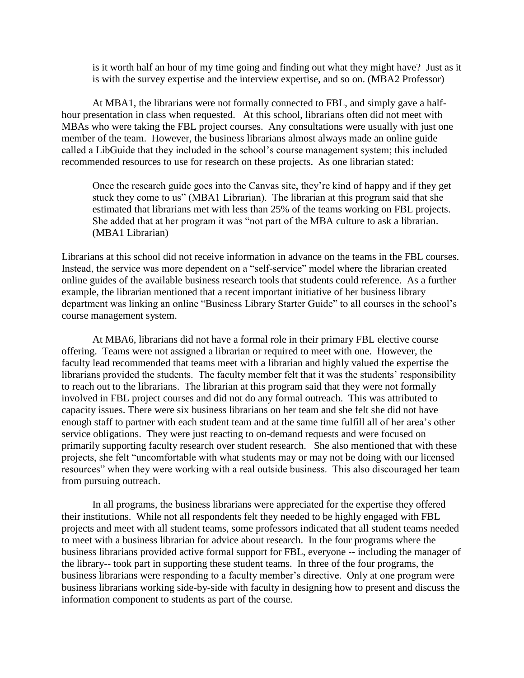is it worth half an hour of my time going and finding out what they might have? Just as it is with the survey expertise and the interview expertise, and so on. (MBA2 Professor)

At MBA1, the librarians were not formally connected to FBL, and simply gave a halfhour presentation in class when requested. At this school, librarians often did not meet with MBAs who were taking the FBL project courses. Any consultations were usually with just one member of the team. However, the business librarians almost always made an online guide called a LibGuide that they included in the school's course management system; this included recommended resources to use for research on these projects. As one librarian stated:

Once the research guide goes into the Canvas site, they're kind of happy and if they get stuck they come to us" (MBA1 Librarian). The librarian at this program said that she estimated that librarians met with less than 25% of the teams working on FBL projects. She added that at her program it was "not part of the MBA culture to ask a librarian. (MBA1 Librarian)

Librarians at this school did not receive information in advance on the teams in the FBL courses. Instead, the service was more dependent on a "self-service" model where the librarian created online guides of the available business research tools that students could reference. As a further example, the librarian mentioned that a recent important initiative of her business library department was linking an online "Business Library Starter Guide" to all courses in the school's course management system.

At MBA6, librarians did not have a formal role in their primary FBL elective course offering. Teams were not assigned a librarian or required to meet with one. However, the faculty lead recommended that teams meet with a librarian and highly valued the expertise the librarians provided the students. The faculty member felt that it was the students' responsibility to reach out to the librarians. The librarian at this program said that they were not formally involved in FBL project courses and did not do any formal outreach. This was attributed to capacity issues. There were six business librarians on her team and she felt she did not have enough staff to partner with each student team and at the same time fulfill all of her area's other service obligations. They were just reacting to on-demand requests and were focused on primarily supporting faculty research over student research. She also mentioned that with these projects, she felt "uncomfortable with what students may or may not be doing with our licensed resources" when they were working with a real outside business. This also discouraged her team from pursuing outreach.

In all programs, the business librarians were appreciated for the expertise they offered their institutions. While not all respondents felt they needed to be highly engaged with FBL projects and meet with all student teams, some professors indicated that all student teams needed to meet with a business librarian for advice about research. In the four programs where the business librarians provided active formal support for FBL, everyone -- including the manager of the library-- took part in supporting these student teams. In three of the four programs, the business librarians were responding to a faculty member's directive. Only at one program were business librarians working side-by-side with faculty in designing how to present and discuss the information component to students as part of the course.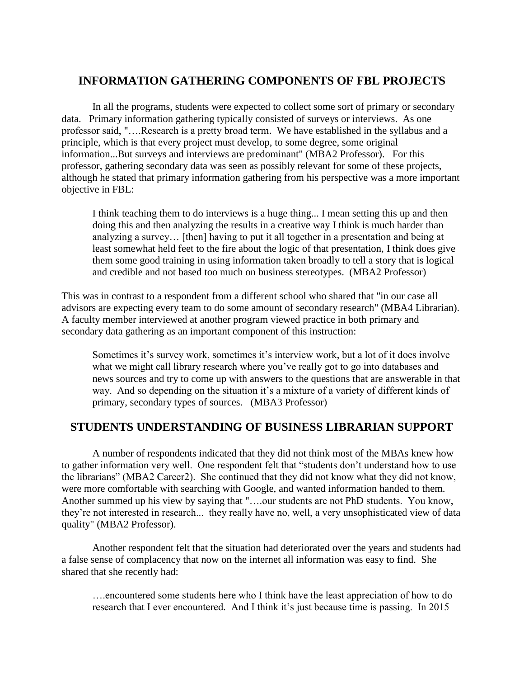# **INFORMATION GATHERING COMPONENTS OF FBL PROJECTS**

In all the programs, students were expected to collect some sort of primary or secondary data. Primary information gathering typically consisted of surveys or interviews. As one professor said, "….Research is a pretty broad term. We have established in the syllabus and a principle, which is that every project must develop, to some degree, some original information...But surveys and interviews are predominant" (MBA2 Professor). For this professor, gathering secondary data was seen as possibly relevant for some of these projects, although he stated that primary information gathering from his perspective was a more important objective in FBL:

I think teaching them to do interviews is a huge thing... I mean setting this up and then doing this and then analyzing the results in a creative way I think is much harder than analyzing a survey… [then] having to put it all together in a presentation and being at least somewhat held feet to the fire about the logic of that presentation, I think does give them some good training in using information taken broadly to tell a story that is logical and credible and not based too much on business stereotypes. (MBA2 Professor)

This was in contrast to a respondent from a different school who shared that "in our case all advisors are expecting every team to do some amount of secondary research" (MBA4 Librarian). A faculty member interviewed at another program viewed practice in both primary and secondary data gathering as an important component of this instruction:

Sometimes it's survey work, sometimes it's interview work, but a lot of it does involve what we might call library research where you've really got to go into databases and news sources and try to come up with answers to the questions that are answerable in that way. And so depending on the situation it's a mixture of a variety of different kinds of primary, secondary types of sources. (MBA3 Professor)

## **STUDENTS UNDERSTANDING OF BUSINESS LIBRARIAN SUPPORT**

A number of respondents indicated that they did not think most of the MBAs knew how to gather information very well. One respondent felt that "students don't understand how to use the librarians" (MBA2 Career2). She continued that they did not know what they did not know, were more comfortable with searching with Google, and wanted information handed to them. Another summed up his view by saying that "….our students are not PhD students. You know, they're not interested in research... they really have no, well, a very unsophisticated view of data quality" (MBA2 Professor).

Another respondent felt that the situation had deteriorated over the years and students had a false sense of complacency that now on the internet all information was easy to find. She shared that she recently had:

….encountered some students here who I think have the least appreciation of how to do research that I ever encountered. And I think it's just because time is passing. In 2015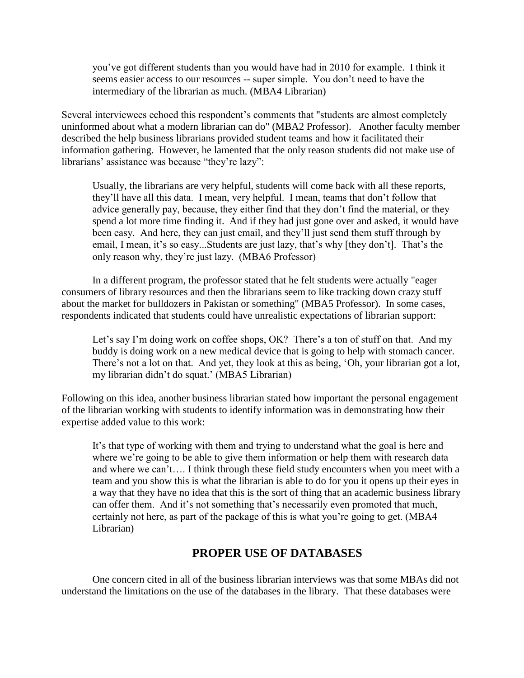you've got different students than you would have had in 2010 for example. I think it seems easier access to our resources -- super simple. You don't need to have the intermediary of the librarian as much. (MBA4 Librarian)

Several interviewees echoed this respondent's comments that "students are almost completely uninformed about what a modern librarian can do" (MBA2 Professor). Another faculty member described the help business librarians provided student teams and how it facilitated their information gathering. However, he lamented that the only reason students did not make use of librarians' assistance was because "they're lazy":

Usually, the librarians are very helpful, students will come back with all these reports, they'll have all this data. I mean, very helpful. I mean, teams that don't follow that advice generally pay, because, they either find that they don't find the material, or they spend a lot more time finding it. And if they had just gone over and asked, it would have been easy. And here, they can just email, and they'll just send them stuff through by email, I mean, it's so easy...Students are just lazy, that's why [they don't]. That's the only reason why, they're just lazy. (MBA6 Professor)

In a different program, the professor stated that he felt students were actually "eager consumers of library resources and then the librarians seem to like tracking down crazy stuff about the market for bulldozers in Pakistan or something" (MBA5 Professor). In some cases, respondents indicated that students could have unrealistic expectations of librarian support:

Let's say I'm doing work on coffee shops, OK? There's a ton of stuff on that. And my buddy is doing work on a new medical device that is going to help with stomach cancer. There's not a lot on that. And yet, they look at this as being, 'Oh, your librarian got a lot, my librarian didn't do squat.' (MBA5 Librarian)

Following on this idea, another business librarian stated how important the personal engagement of the librarian working with students to identify information was in demonstrating how their expertise added value to this work:

It's that type of working with them and trying to understand what the goal is here and where we're going to be able to give them information or help them with research data and where we can't…. I think through these field study encounters when you meet with a team and you show this is what the librarian is able to do for you it opens up their eyes in a way that they have no idea that this is the sort of thing that an academic business library can offer them. And it's not something that's necessarily even promoted that much, certainly not here, as part of the package of this is what you're going to get. (MBA4 Librarian)

## **PROPER USE OF DATABASES**

One concern cited in all of the business librarian interviews was that some MBAs did not understand the limitations on the use of the databases in the library. That these databases were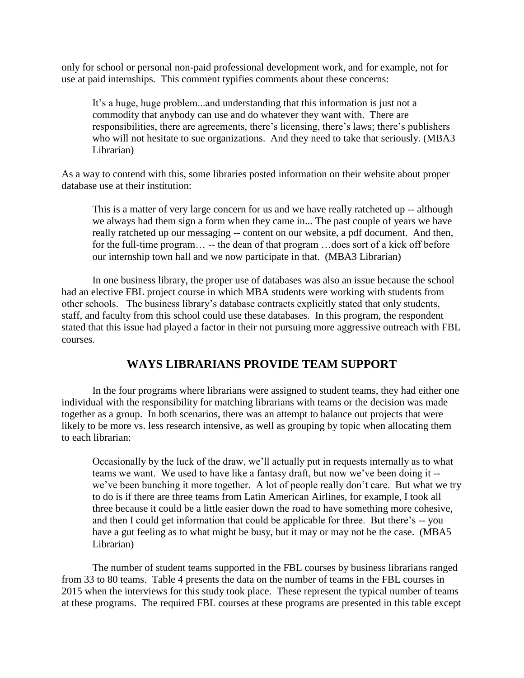only for school or personal non-paid professional development work, and for example, not for use at paid internships. This comment typifies comments about these concerns:

It's a huge, huge problem...and understanding that this information is just not a commodity that anybody can use and do whatever they want with. There are responsibilities, there are agreements, there's licensing, there's laws; there's publishers who will not hesitate to sue organizations. And they need to take that seriously. (MBA3 Librarian)

As a way to contend with this, some libraries posted information on their website about proper database use at their institution:

This is a matter of very large concern for us and we have really ratcheted up -- although we always had them sign a form when they came in... The past couple of years we have really ratcheted up our messaging -- content on our website, a pdf document. And then, for the full-time program… -- the dean of that program …does sort of a kick off before our internship town hall and we now participate in that. (MBA3 Librarian)

In one business library, the proper use of databases was also an issue because the school had an elective FBL project course in which MBA students were working with students from other schools. The business library's database contracts explicitly stated that only students, staff, and faculty from this school could use these databases. In this program, the respondent stated that this issue had played a factor in their not pursuing more aggressive outreach with FBL courses.

# **WAYS LIBRARIANS PROVIDE TEAM SUPPORT**

In the four programs where librarians were assigned to student teams, they had either one individual with the responsibility for matching librarians with teams or the decision was made together as a group. In both scenarios, there was an attempt to balance out projects that were likely to be more vs. less research intensive, as well as grouping by topic when allocating them to each librarian:

Occasionally by the luck of the draw, we'll actually put in requests internally as to what teams we want. We used to have like a fantasy draft, but now we've been doing it - we've been bunching it more together. A lot of people really don't care. But what we try to do is if there are three teams from Latin American Airlines, for example, I took all three because it could be a little easier down the road to have something more cohesive, and then I could get information that could be applicable for three. But there's -- you have a gut feeling as to what might be busy, but it may or may not be the case. (MBA5 Librarian)

The number of student teams supported in the FBL courses by business librarians ranged from 33 to 80 teams. Table 4 presents the data on the number of teams in the FBL courses in 2015 when the interviews for this study took place. These represent the typical number of teams at these programs. The required FBL courses at these programs are presented in this table except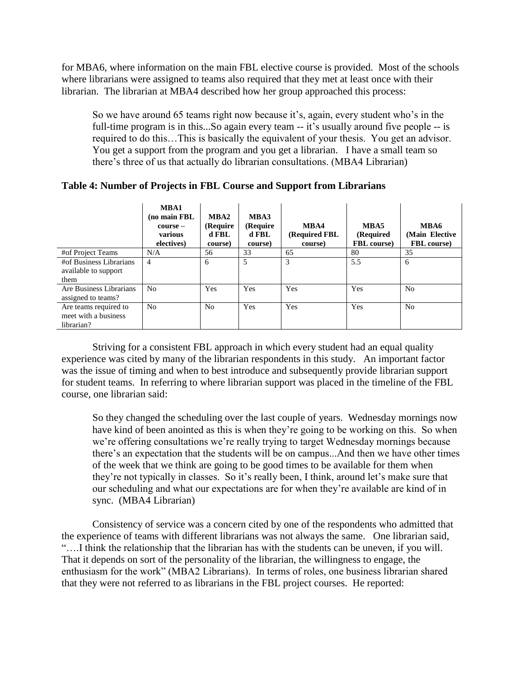for MBA6, where information on the main FBL elective course is provided. Most of the schools where librarians were assigned to teams also required that they met at least once with their librarian. The librarian at MBA4 described how her group approached this process:

So we have around 65 teams right now because it's, again, every student who's in the full-time program is in this...So again every team -- it's usually around five people -- is required to do this…This is basically the equivalent of your thesis. You get an advisor. You get a support from the program and you get a librarian. I have a small team so there's three of us that actually do librarian consultations. (MBA4 Librarian)

|                                                             | MBA1<br>(no main FBL<br>$course -$<br>various<br>electives) | MBA2<br>(Require<br>d FBL<br>course) | MBA3<br>(Require<br>d FBL<br>course) | MBA4<br>(Required FBL<br>course) | MBA5<br>(Required<br><b>FBL</b> course) | MBA6<br>(Main Elective)<br><b>FBL</b> course) |
|-------------------------------------------------------------|-------------------------------------------------------------|--------------------------------------|--------------------------------------|----------------------------------|-----------------------------------------|-----------------------------------------------|
| #of Project Teams                                           | N/A                                                         | 56                                   | 33                                   | 65                               | 80                                      | 35                                            |
| #of Business Librarians<br>available to support<br>them     | 4                                                           | 6                                    | 5                                    | 3                                | 5.5                                     | 6                                             |
| Are Business Librarians<br>assigned to teams?               | No                                                          | Yes                                  | Yes                                  | Yes                              | Yes                                     | N <sub>0</sub>                                |
| Are teams required to<br>meet with a business<br>librarian? | N <sub>o</sub>                                              | N <sub>o</sub>                       | Yes                                  | Yes                              | Yes                                     | N <sub>0</sub>                                |

#### **Table 4: Number of Projects in FBL Course and Support from Librarians**

Striving for a consistent FBL approach in which every student had an equal quality experience was cited by many of the librarian respondents in this study. An important factor was the issue of timing and when to best introduce and subsequently provide librarian support for student teams. In referring to where librarian support was placed in the timeline of the FBL course, one librarian said:

So they changed the scheduling over the last couple of years. Wednesday mornings now have kind of been anointed as this is when they're going to be working on this. So when we're offering consultations we're really trying to target Wednesday mornings because there's an expectation that the students will be on campus...And then we have other times of the week that we think are going to be good times to be available for them when they're not typically in classes. So it's really been, I think, around let's make sure that our scheduling and what our expectations are for when they're available are kind of in sync. (MBA4 Librarian)

Consistency of service was a concern cited by one of the respondents who admitted that the experience of teams with different librarians was not always the same. One librarian said, "….I think the relationship that the librarian has with the students can be uneven, if you will. That it depends on sort of the personality of the librarian, the willingness to engage, the enthusiasm for the work" (MBA2 Librarians). In terms of roles, one business librarian shared that they were not referred to as librarians in the FBL project courses. He reported: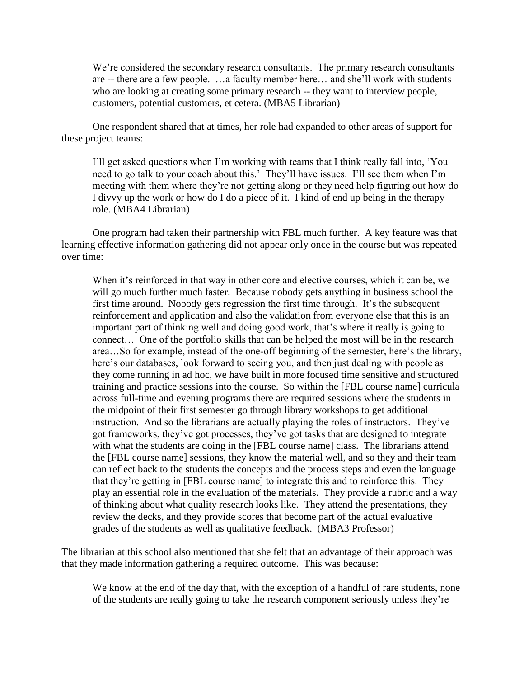We're considered the secondary research consultants. The primary research consultants are -- there are a few people. …a faculty member here… and she'll work with students who are looking at creating some primary research -- they want to interview people, customers, potential customers, et cetera. (MBA5 Librarian)

One respondent shared that at times, her role had expanded to other areas of support for these project teams:

I'll get asked questions when I'm working with teams that I think really fall into, 'You need to go talk to your coach about this.' They'll have issues. I'll see them when I'm meeting with them where they're not getting along or they need help figuring out how do I divvy up the work or how do I do a piece of it. I kind of end up being in the therapy role. (MBA4 Librarian)

One program had taken their partnership with FBL much further. A key feature was that learning effective information gathering did not appear only once in the course but was repeated over time:

When it's reinforced in that way in other core and elective courses, which it can be, we will go much further much faster. Because nobody gets anything in business school the first time around. Nobody gets regression the first time through. It's the subsequent reinforcement and application and also the validation from everyone else that this is an important part of thinking well and doing good work, that's where it really is going to connect… One of the portfolio skills that can be helped the most will be in the research area…So for example, instead of the one-off beginning of the semester, here's the library, here's our databases, look forward to seeing you, and then just dealing with people as they come running in ad hoc, we have built in more focused time sensitive and structured training and practice sessions into the course. So within the [FBL course name] curricula across full-time and evening programs there are required sessions where the students in the midpoint of their first semester go through library workshops to get additional instruction. And so the librarians are actually playing the roles of instructors. They've got frameworks, they've got processes, they've got tasks that are designed to integrate with what the students are doing in the [FBL course name] class. The librarians attend the [FBL course name] sessions, they know the material well, and so they and their team can reflect back to the students the concepts and the process steps and even the language that they're getting in [FBL course name] to integrate this and to reinforce this. They play an essential role in the evaluation of the materials. They provide a rubric and a way of thinking about what quality research looks like. They attend the presentations, they review the decks, and they provide scores that become part of the actual evaluative grades of the students as well as qualitative feedback. (MBA3 Professor)

The librarian at this school also mentioned that she felt that an advantage of their approach was that they made information gathering a required outcome. This was because:

We know at the end of the day that, with the exception of a handful of rare students, none of the students are really going to take the research component seriously unless they're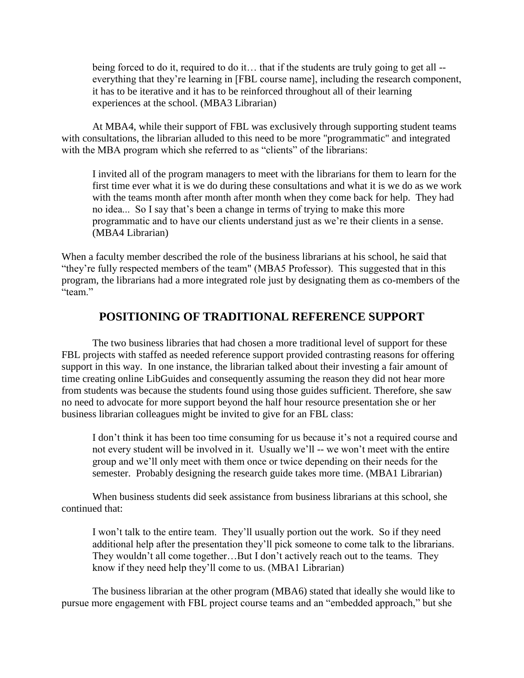being forced to do it, required to do it… that if the students are truly going to get all - everything that they're learning in [FBL course name], including the research component, it has to be iterative and it has to be reinforced throughout all of their learning experiences at the school. (MBA3 Librarian)

At MBA4, while their support of FBL was exclusively through supporting student teams with consultations, the librarian alluded to this need to be more "programmatic" and integrated with the MBA program which she referred to as "clients" of the librarians:

I invited all of the program managers to meet with the librarians for them to learn for the first time ever what it is we do during these consultations and what it is we do as we work with the teams month after month after month when they come back for help. They had no idea... So I say that's been a change in terms of trying to make this more programmatic and to have our clients understand just as we're their clients in a sense. (MBA4 Librarian)

When a faculty member described the role of the business librarians at his school, he said that "they're fully respected members of the team" (MBA5 Professor). This suggested that in this program, the librarians had a more integrated role just by designating them as co-members of the "team"

## **POSITIONING OF TRADITIONAL REFERENCE SUPPORT**

The two business libraries that had chosen a more traditional level of support for these FBL projects with staffed as needed reference support provided contrasting reasons for offering support in this way. In one instance, the librarian talked about their investing a fair amount of time creating online LibGuides and consequently assuming the reason they did not hear more from students was because the students found using those guides sufficient. Therefore, she saw no need to advocate for more support beyond the half hour resource presentation she or her business librarian colleagues might be invited to give for an FBL class:

I don't think it has been too time consuming for us because it's not a required course and not every student will be involved in it. Usually we'll -- we won't meet with the entire group and we'll only meet with them once or twice depending on their needs for the semester. Probably designing the research guide takes more time. (MBA1 Librarian)

When business students did seek assistance from business librarians at this school, she continued that:

I won't talk to the entire team. They'll usually portion out the work. So if they need additional help after the presentation they'll pick someone to come talk to the librarians. They wouldn't all come together…But I don't actively reach out to the teams. They know if they need help they'll come to us. (MBA1 Librarian)

The business librarian at the other program (MBA6) stated that ideally she would like to pursue more engagement with FBL project course teams and an "embedded approach," but she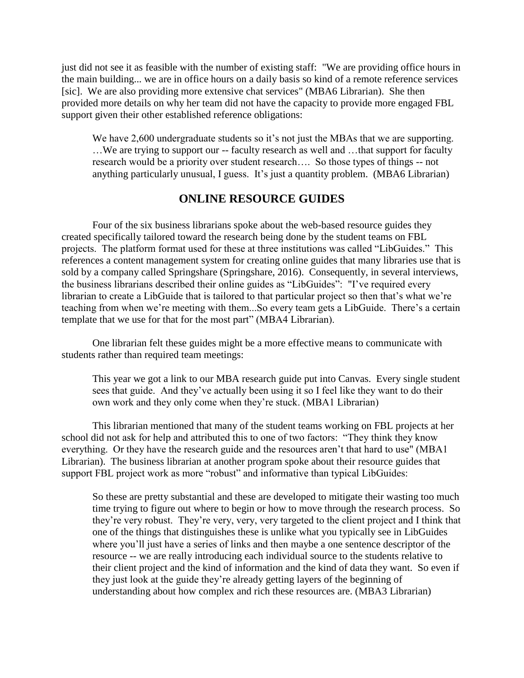just did not see it as feasible with the number of existing staff: "We are providing office hours in the main building... we are in office hours on a daily basis so kind of a remote reference services [sic]. We are also providing more extensive chat services" (MBA6 Librarian). She then provided more details on why her team did not have the capacity to provide more engaged FBL support given their other established reference obligations:

We have 2,600 undergraduate students so it's not just the MBAs that we are supporting. …We are trying to support our -- faculty research as well and …that support for faculty research would be a priority over student research…. So those types of things -- not anything particularly unusual, I guess. It's just a quantity problem. (MBA6 Librarian)

## **ONLINE RESOURCE GUIDES**

Four of the six business librarians spoke about the web-based resource guides they created specifically tailored toward the research being done by the student teams on FBL projects. The platform format used for these at three institutions was called "LibGuides." This references a content management system for creating online guides that many libraries use that is sold by a company called Springshare (Springshare, 2016). Consequently, in several interviews, the business librarians described their online guides as "LibGuides": "I've required every librarian to create a LibGuide that is tailored to that particular project so then that's what we're teaching from when we're meeting with them...So every team gets a LibGuide. There's a certain template that we use for that for the most part" (MBA4 Librarian).

One librarian felt these guides might be a more effective means to communicate with students rather than required team meetings:

This year we got a link to our MBA research guide put into Canvas. Every single student sees that guide. And they've actually been using it so I feel like they want to do their own work and they only come when they're stuck. (MBA1 Librarian)

This librarian mentioned that many of the student teams working on FBL projects at her school did not ask for help and attributed this to one of two factors: "They think they know everything. Or they have the research guide and the resources aren't that hard to use" (MBA1 Librarian). The business librarian at another program spoke about their resource guides that support FBL project work as more "robust" and informative than typical LibGuides:

So these are pretty substantial and these are developed to mitigate their wasting too much time trying to figure out where to begin or how to move through the research process. So they're very robust. They're very, very, very targeted to the client project and I think that one of the things that distinguishes these is unlike what you typically see in LibGuides where you'll just have a series of links and then maybe a one sentence descriptor of the resource -- we are really introducing each individual source to the students relative to their client project and the kind of information and the kind of data they want. So even if they just look at the guide they're already getting layers of the beginning of understanding about how complex and rich these resources are. (MBA3 Librarian)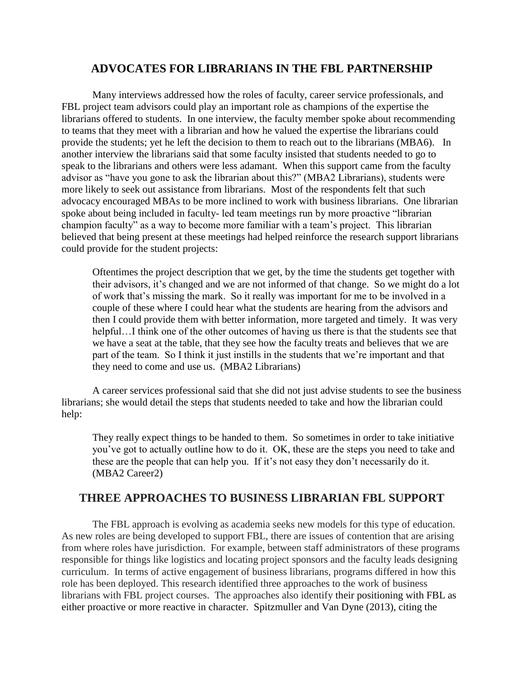## **ADVOCATES FOR LIBRARIANS IN THE FBL PARTNERSHIP**

Many interviews addressed how the roles of faculty, career service professionals, and FBL project team advisors could play an important role as champions of the expertise the librarians offered to students. In one interview, the faculty member spoke about recommending to teams that they meet with a librarian and how he valued the expertise the librarians could provide the students; yet he left the decision to them to reach out to the librarians (MBA6). In another interview the librarians said that some faculty insisted that students needed to go to speak to the librarians and others were less adamant. When this support came from the faculty advisor as "have you gone to ask the librarian about this?" (MBA2 Librarians), students were more likely to seek out assistance from librarians. Most of the respondents felt that such advocacy encouraged MBAs to be more inclined to work with business librarians. One librarian spoke about being included in faculty- led team meetings run by more proactive "librarian champion faculty" as a way to become more familiar with a team's project. This librarian believed that being present at these meetings had helped reinforce the research support librarians could provide for the student projects:

Oftentimes the project description that we get, by the time the students get together with their advisors, it's changed and we are not informed of that change. So we might do a lot of work that's missing the mark. So it really was important for me to be involved in a couple of these where I could hear what the students are hearing from the advisors and then I could provide them with better information, more targeted and timely. It was very helpful... I think one of the other outcomes of having us there is that the students see that we have a seat at the table, that they see how the faculty treats and believes that we are part of the team. So I think it just instills in the students that we're important and that they need to come and use us. (MBA2 Librarians)

A career services professional said that she did not just advise students to see the business librarians; she would detail the steps that students needed to take and how the librarian could help:

They really expect things to be handed to them. So sometimes in order to take initiative you've got to actually outline how to do it. OK, these are the steps you need to take and these are the people that can help you. If it's not easy they don't necessarily do it. (MBA2 Career2)

# **THREE APPROACHES TO BUSINESS LIBRARIAN FBL SUPPORT**

The FBL approach is evolving as academia seeks new models for this type of education. As new roles are being developed to support FBL, there are issues of contention that are arising from where roles have jurisdiction. For example, between staff administrators of these programs responsible for things like logistics and locating project sponsors and the faculty leads designing curriculum. In terms of active engagement of business librarians, programs differed in how this role has been deployed. This research identified three approaches to the work of business librarians with FBL project courses. The approaches also identify their positioning with FBL as either proactive or more reactive in character. Spitzmuller and Van Dyne (2013), citing the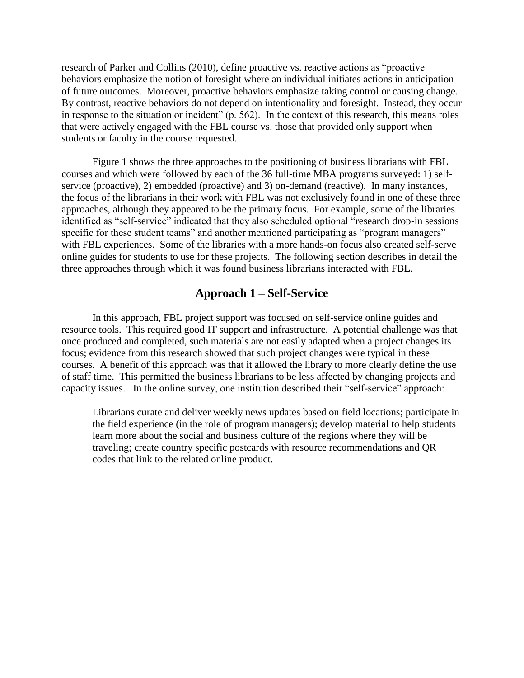research of Parker and Collins (2010), define proactive vs. reactive actions as "proactive behaviors emphasize the notion of foresight where an individual initiates actions in anticipation of future outcomes. Moreover, proactive behaviors emphasize taking control or causing change. By contrast, reactive behaviors do not depend on intentionality and foresight. Instead, they occur in response to the situation or incident" (p. 562). In the context of this research, this means roles that were actively engaged with the FBL course vs. those that provided only support when students or faculty in the course requested.

Figure 1 shows the three approaches to the positioning of business librarians with FBL courses and which were followed by each of the 36 full-time MBA programs surveyed: 1) selfservice (proactive), 2) embedded (proactive) and 3) on-demand (reactive). In many instances, the focus of the librarians in their work with FBL was not exclusively found in one of these three approaches, although they appeared to be the primary focus. For example, some of the libraries identified as "self-service" indicated that they also scheduled optional "research drop-in sessions specific for these student teams" and another mentioned participating as "program managers" with FBL experiences. Some of the libraries with a more hands-on focus also created self-serve online guides for students to use for these projects. The following section describes in detail the three approaches through which it was found business librarians interacted with FBL.

#### **Approach 1 – Self-Service**

In this approach, FBL project support was focused on self-service online guides and resource tools. This required good IT support and infrastructure. A potential challenge was that once produced and completed, such materials are not easily adapted when a project changes its focus; evidence from this research showed that such project changes were typical in these courses. A benefit of this approach was that it allowed the library to more clearly define the use of staff time. This permitted the business librarians to be less affected by changing projects and capacity issues. In the online survey, one institution described their "self-service" approach:

Librarians curate and deliver weekly news updates based on field locations; participate in the field experience (in the role of program managers); develop material to help students learn more about the social and business culture of the regions where they will be traveling; create country specific postcards with resource recommendations and QR codes that link to the related online product.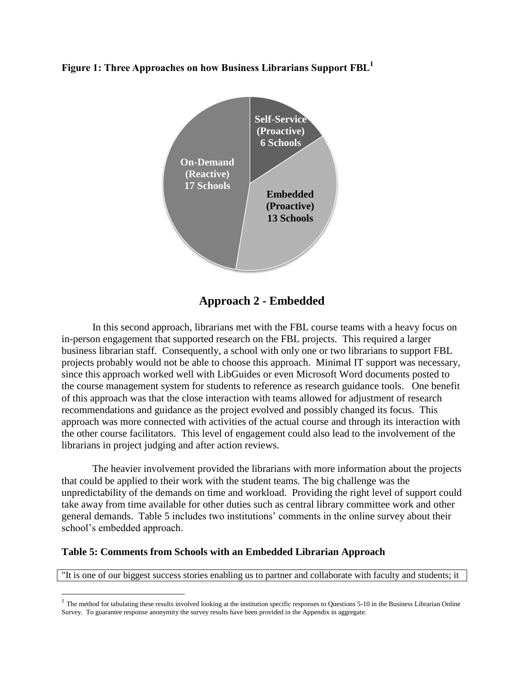**Figure 1: Three Approaches on how Business Librarians Support FBL<sup>1</sup>**



**Approach 2 - Embedded**

In this second approach, librarians met with the FBL course teams with a heavy focus on in-person engagement that supported research on the FBL projects. This required a larger business librarian staff. Consequently, a school with only one or two librarians to support FBL projects probably would not be able to choose this approach. Minimal IT support was necessary, since this approach worked well with LibGuides or even Microsoft Word documents posted to the course management system for students to reference as research guidance tools. One benefit of this approach was that the close interaction with teams allowed for adjustment of research recommendations and guidance as the project evolved and possibly changed its focus. This approach was more connected with activities of the actual course and through its interaction with the other course facilitators. This level of engagement could also lead to the involvement of the librarians in project judging and after action reviews.

The heavier involvement provided the librarians with more information about the projects that could be applied to their work with the student teams. The big challenge was the unpredictability of the demands on time and workload. Providing the right level of support could take away from time available for other duties such as central library committee work and other general demands. Table 5 includes two institutions' comments in the online survey about their school's embedded approach.

#### **Table 5: Comments from Schools with an Embedded Librarian Approach**

 $\overline{a}$ 

"It is one of our biggest success stories enabling us to partner and collaborate with faculty and students; it

 $<sup>1</sup>$  The method for tabulating these results involved looking at the institution specific responses to Questions 5-10 in the Business Librarian Online</sup> Survey. To guarantee response anonymity the survey results have been provided in the Appendix in aggregate.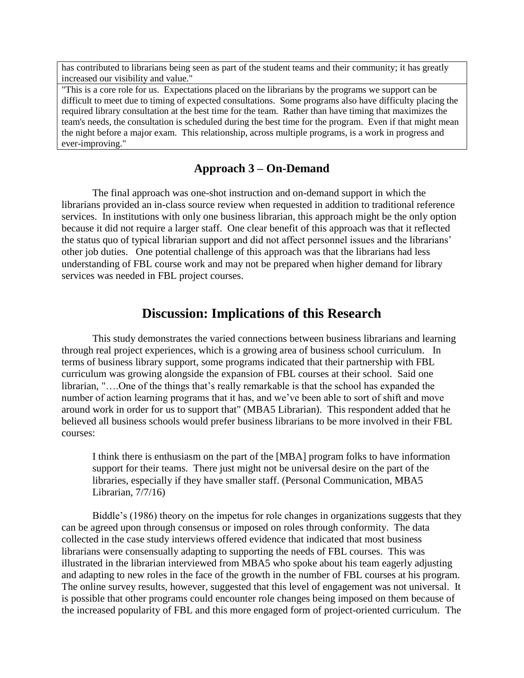has contributed to librarians being seen as part of the student teams and their community; it has greatly increased our visibility and value."

"This is a core role for us. Expectations placed on the librarians by the programs we support can be difficult to meet due to timing of expected consultations. Some programs also have difficulty placing the required library consultation at the best time for the team. Rather than have timing that maximizes the team's needs, the consultation is scheduled during the best time for the program. Even if that might mean the night before a major exam. This relationship, across multiple programs, is a work in progress and ever-improving."

## **Approach 3 – On-Demand**

The final approach was one-shot instruction and on-demand support in which the librarians provided an in-class source review when requested in addition to traditional reference services.In institutions with only one business librarian, this approach might be the only option because it did not require a larger staff. One clear benefit of this approach was that it reflected the status quo of typical librarian support and did not affect personnel issues and the librarians' other job duties. One potential challenge of this approach was that the librarians had less understanding of FBL course work and may not be prepared when higher demand for library services was needed in FBL project courses.

# **Discussion: Implications of this Research**

This study demonstrates the varied connections between business librarians and learning through real project experiences, which is a growing area of business school curriculum. In terms of business library support, some programs indicated that their partnership with FBL curriculum was growing alongside the expansion of FBL courses at their school. Said one librarian, "….One of the things that's really remarkable is that the school has expanded the number of action learning programs that it has, and we've been able to sort of shift and move around work in order for us to support that" (MBA5 Librarian). This respondent added that he believed all business schools would prefer business librarians to be more involved in their FBL courses:

I think there is enthusiasm on the part of the [MBA] program folks to have information support for their teams. There just might not be universal desire on the part of the libraries, especially if they have smaller staff. (Personal Communication, MBA5 Librarian, 7/7/16)

Biddle's (1986) theory on the impetus for role changes in organizations suggests that they can be agreed upon through consensus or imposed on roles through conformity. The data collected in the case study interviews offered evidence that indicated that most business librarians were consensually adapting to supporting the needs of FBL courses. This was illustrated in the librarian interviewed from MBA5 who spoke about his team eagerly adjusting and adapting to new roles in the face of the growth in the number of FBL courses at his program. The online survey results, however, suggested that this level of engagement was not universal. It is possible that other programs could encounter role changes being imposed on them because of the increased popularity of FBL and this more engaged form of project-oriented curriculum. The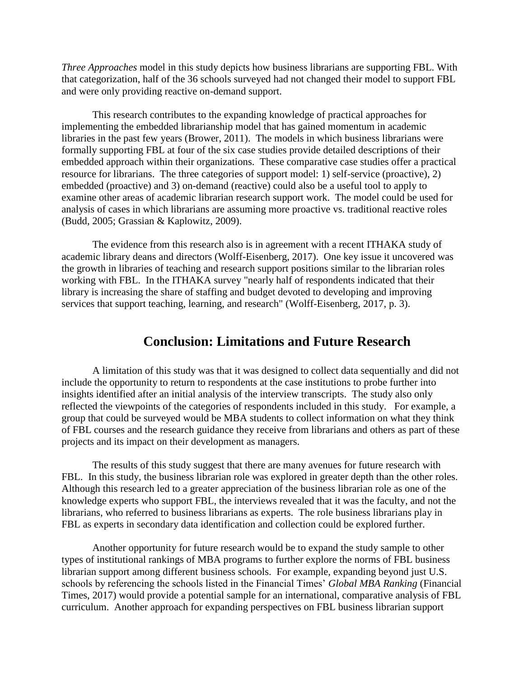*Three Approaches* model in this study depicts how business librarians are supporting FBL. With that categorization, half of the 36 schools surveyed had not changed their model to support FBL and were only providing reactive on-demand support.

This research contributes to the expanding knowledge of practical approaches for implementing the embedded librarianship model that has gained momentum in academic libraries in the past few years (Brower, 2011). The models in which business librarians were formally supporting FBL at four of the six case studies provide detailed descriptions of their embedded approach within their organizations. These comparative case studies offer a practical resource for librarians.The three categories of support model: 1) self-service (proactive), 2) embedded (proactive) and 3) on-demand (reactive) could also be a useful tool to apply to examine other areas of academic librarian research support work. The model could be used for analysis of cases in which librarians are assuming more proactive vs. traditional reactive roles (Budd, 2005; Grassian & Kaplowitz, 2009).

The evidence from this research also is in agreement with a recent ITHAKA study of academic library deans and directors (Wolff-Eisenberg, 2017). One key issue it uncovered was the growth in libraries of teaching and research support positions similar to the librarian roles working with FBL. In the ITHAKA survey "nearly half of respondents indicated that their library is increasing the share of staffing and budget devoted to developing and improving services that support teaching, learning, and research" (Wolff-Eisenberg, 2017, p. 3).

## **Conclusion: Limitations and Future Research**

A limitation of this study was that it was designed to collect data sequentially and did not include the opportunity to return to respondents at the case institutions to probe further into insights identified after an initial analysis of the interview transcripts. The study also only reflected the viewpoints of the categories of respondents included in this study. For example, a group that could be surveyed would be MBA students to collect information on what they think of FBL courses and the research guidance they receive from librarians and others as part of these projects and its impact on their development as managers.

The results of this study suggest that there are many avenues for future research with FBL. In this study, the business librarian role was explored in greater depth than the other roles. Although this research led to a greater appreciation of the business librarian role as one of the knowledge experts who support FBL, the interviews revealed that it was the faculty, and not the librarians, who referred to business librarians as experts. The role business librarians play in FBL as experts in secondary data identification and collection could be explored further.

Another opportunity for future research would be to expand the study sample to other types of institutional rankings of MBA programs to further explore the norms of FBL business librarian support among different business schools. For example, expanding beyond just U.S. schools by referencing the schools listed in the Financial Times' *Global MBA Ranking* (Financial Times, 2017) would provide a potential sample for an international, comparative analysis of FBL curriculum. Another approach for expanding perspectives on FBL business librarian support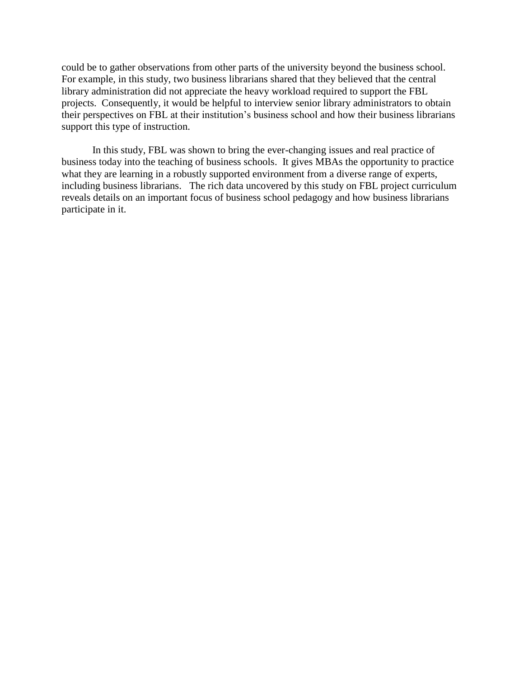could be to gather observations from other parts of the university beyond the business school. For example, in this study, two business librarians shared that they believed that the central library administration did not appreciate the heavy workload required to support the FBL projects. Consequently, it would be helpful to interview senior library administrators to obtain their perspectives on FBL at their institution's business school and how their business librarians support this type of instruction.

In this study, FBL was shown to bring the ever-changing issues and real practice of business today into the teaching of business schools. It gives MBAs the opportunity to practice what they are learning in a robustly supported environment from a diverse range of experts, including business librarians. The rich data uncovered by this study on FBL project curriculum reveals details on an important focus of business school pedagogy and how business librarians participate in it.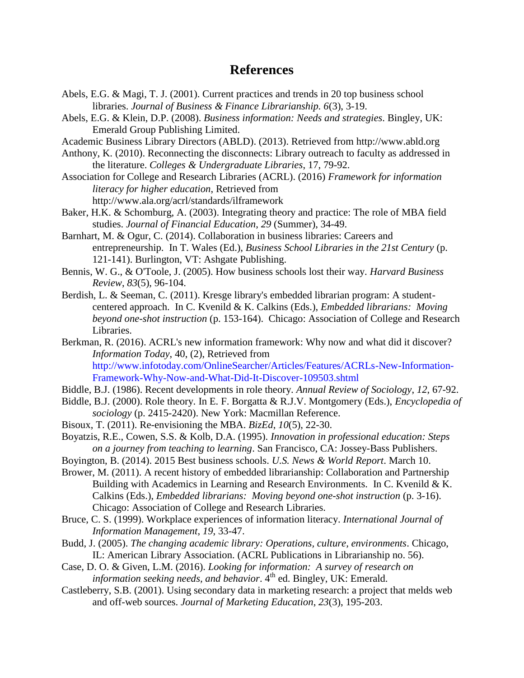# **References**

- Abels, E.G. & Magi, T. J. (2001). Current practices and trends in 20 top business school libraries. *Journal of Business & Finance Librarianship. 6*(3), 3-19.
- Abels, E.G. & Klein, D.P. (2008). *Business information: Needs and strategies*. Bingley, UK: Emerald Group Publishing Limited.
- Academic Business Library Directors (ABLD). (2013). Retrieved from http://www.abld.org
- Anthony, K. (2010). Reconnecting the disconnects: Library outreach to faculty as addressed in the literature. *Colleges & Undergraduate Libraries*, 17, 79-92.
- Association for College and Research Libraries (ACRL). (2016) *Framework for information literacy for higher education*, Retrieved from http://www.ala.org/acrl/standards/ilframework
- Baker, H.K. & Schomburg, A. (2003). Integrating theory and practice: The role of MBA field studies. *Journal of Financial Education*, *29* (Summer), 34-49.
- Barnhart, M. & Ogur, C. (2014). Collaboration in business libraries: Careers and entrepreneurship. In T. Wales (Ed.), *Business School Libraries in the 21st Century* (p. 121-141). Burlington, VT: Ashgate Publishing.
- Bennis, W. G., & O'Toole, J. (2005). How business schools lost their way. *Harvard Business Review*, *83*(5), 96-104.
- Berdish, L. & Seeman, C. (2011). Kresge library's embedded librarian program: A studentcentered approach. In C. Kvenild & K. Calkins (Eds.), *Embedded librarians: Moving beyond one-shot instruction* (p. 153-164). Chicago: Association of College and Research Libraries.
- Berkman, R. (2016). ACRL's new information framework: Why now and what did it discover? *Information Today*, 40, (2), Retrieved from [http://www.infotoday.com/OnlineSearcher/Articles/Features/ACRLs-New-Information-](http://www.infotoday.com/OnlineSearcher/Articles/Features/ACRLs-New-Information-Framework-Why-Now-and-What-Did-It-Discover-109503.shtml)[Framework-Why-Now-and-What-Did-It-Discover-109503.shtml](http://www.infotoday.com/OnlineSearcher/Articles/Features/ACRLs-New-Information-Framework-Why-Now-and-What-Did-It-Discover-109503.shtml)
- Biddle, B.J. (1986). Recent developments in role theory. *Annual Review of Sociology*, *12*, 67-92.
- Biddle, B.J. (2000). Role theory. In E. F. Borgatta & R.J.V. Montgomery (Eds.), *Encyclopedia of sociology* (p. 2415-2420). New York: Macmillan Reference.
- Bisoux, T. (2011). Re-envisioning the MBA. *BizEd*, *10*(5), 22-30.
- Boyatzis, R.E., Cowen, S.S. & Kolb, D.A. (1995). *Innovation in professional education: Steps on a journey from teaching to learning*. San Francisco, CA: Jossey-Bass Publishers.
- Boyington, B. (2014). 2015 Best business schools. *U.S. News & World Report*. March 10.
- Brower, M. (2011). A recent history of embedded librarianship: Collaboration and Partnership Building with Academics in Learning and Research Environments. In C. Kvenild & K. Calkins (Eds.), *Embedded librarians: Moving beyond one-shot instruction* (p. 3-16). Chicago: Association of College and Research Libraries.
- Bruce, C. S. (1999). Workplace experiences of information literacy. *International Journal of Information Management*, *19*, 33-47.
- Budd, J. (2005). *The changing academic library: Operations, culture, environments*. Chicago, IL: American Library Association. (ACRL Publications in Librarianship no. 56).
- Case, D. O. & Given, L.M. (2016). *Looking for information: A survey of research on information seeking needs, and behavior*.  $4<sup>th</sup>$  ed. Bingley, UK: Emerald.
- Castleberry, S.B. (2001). Using secondary data in marketing research: a project that melds web and off-web sources. *Journal of Marketing Education*, *23*(3), 195-203.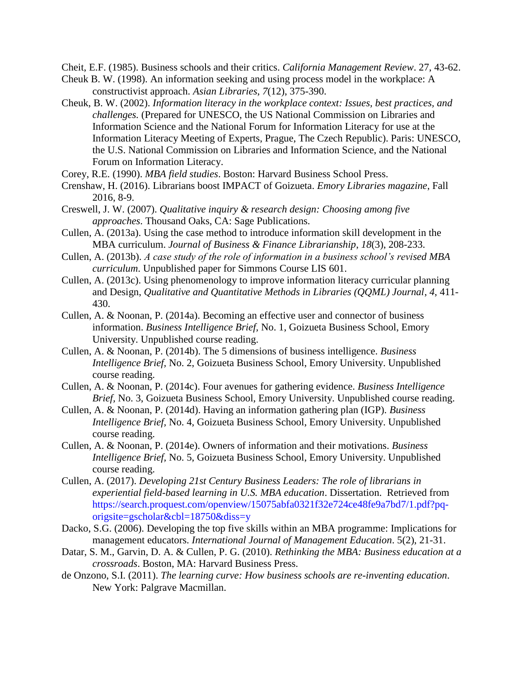Cheit, E.F. (1985). Business schools and their critics. *California Management Review*. 27, 43-62.

- Cheuk B. W. (1998). An information seeking and using process model in the workplace: A constructivist approach. *Asian Libraries*, *7*(12), 375-390.
- Cheuk, B. W. (2002). *Information literacy in the workplace context: Issues, best practices, and challenges.* (Prepared for UNESCO, the US National Commission on Libraries and Information Science and the National Forum for Information Literacy for use at the Information Literacy Meeting of Experts, Prague, The Czech Republic). Paris: UNESCO, the U.S. National Commission on Libraries and Information Science, and the National Forum on Information Literacy.
- Corey, R.E. (1990). *MBA field studies*. Boston: Harvard Business School Press.
- Crenshaw, H. (2016). Librarians boost IMPACT of Goizueta. *Emory Libraries magazine*, Fall 2016, 8-9.
- Creswell, J. W. (2007). *Qualitative inquiry & research design: Choosing among five approaches*. Thousand Oaks, CA: Sage Publications.
- Cullen, A. (2013a). Using the case method to introduce information skill development in the MBA curriculum. *Journal of Business & Finance Librarianship*, *18*(3), 208-233.
- Cullen, A. (2013b). *A case study of the role of information in a business school's revised MBA curriculum*. Unpublished paper for Simmons Course LIS 601.
- Cullen, A. (2013c). Using phenomenology to improve information literacy curricular planning and Design, *Qualitative and Quantitative Methods in Libraries (QQML) Journal*, *4*, 411- 430.
- Cullen, A. & Noonan, P. (2014a). Becoming an effective user and connector of business information. *Business Intelligence Brief,* No. 1, Goizueta Business School, Emory University. Unpublished course reading.
- Cullen, A. & Noonan, P. (2014b). The 5 dimensions of business intelligence. *Business Intelligence Brief,* No. 2, Goizueta Business School, Emory University. Unpublished course reading.
- Cullen, A. & Noonan, P. (2014c). Four avenues for gathering evidence. *Business Intelligence Brief,* No. 3, Goizueta Business School, Emory University. Unpublished course reading.
- Cullen, A. & Noonan, P. (2014d). Having an information gathering plan (IGP)*. Business Intelligence Brief,* No. 4, Goizueta Business School, Emory University. Unpublished course reading.
- Cullen, A. & Noonan, P. (2014e). Owners of information and their motivations. *Business Intelligence Brief,* No. 5, Goizueta Business School, Emory University. Unpublished course reading.
- Cullen, A. (2017). *Developing 21st Century Business Leaders: The role of librarians in experiential field-based learning in U.S. MBA education*. Dissertation. Retrieved from [https://search.proquest.com/openview/15075abfa0321f32e724ce48fe9a7bd7/1.pdf?pq](https://search.proquest.com/openview/15075abfa0321f32e724ce48fe9a7bd7/1.pdf?pq-origsite=gscholar&cbl=18750&diss=y)[origsite=gscholar&cbl=18750&diss=y](https://search.proquest.com/openview/15075abfa0321f32e724ce48fe9a7bd7/1.pdf?pq-origsite=gscholar&cbl=18750&diss=y)
- Dacko, S.G. (2006). Developing the top five skills within an MBA programme: Implications for management educators. *International Journal of Management Education*. 5(2), 21-31.
- Datar, S. M., Garvin, D. A. & Cullen, P. G. (2010). *Rethinking the MBA: Business education at a crossroads*. Boston, MA: Harvard Business Press.
- de Onzono, S.I. (2011). *The learning curve: How business schools are re-inventing education*. New York: Palgrave Macmillan.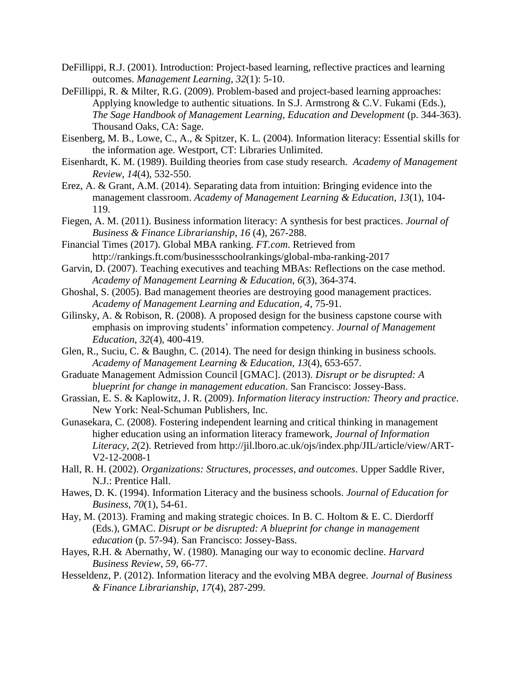- DeFillippi, R.J. (2001). Introduction: Project-based learning, reflective practices and learning outcomes. *Management Learning*, *32*(1): 5-10.
- DeFillippi, R. & Milter, R.G. (2009). Problem-based and project-based learning approaches: Applying knowledge to authentic situations. In S.J. Armstrong & C.V. Fukami (Eds.), *The Sage Handbook of Management Learning, Education and Development* (p. 344-363). Thousand Oaks, CA: Sage.
- Eisenberg, M. B., Lowe, C., A., & Spitzer, K. L. (2004). Information literacy: Essential skills for the information age. Westport, CT: Libraries Unlimited.
- Eisenhardt, K. M. (1989). Building theories from case study research. *Academy of Management Review*, *14*(4), 532-550.
- Erez, A. & Grant, A.M. (2014). Separating data from intuition: Bringing evidence into the management classroom. *Academy of Management Learning & Education*, *13*(1), 104- 119.
- Fiegen, A. M. (2011). Business information literacy: A synthesis for best practices. *Journal of Business & Finance Librarianship*, *16* (4), 267-288.
- Financial Times (2017). Global MBA ranking. *FT.com*. Retrieved from http://rankings.ft.com/businessschoolrankings/global-mba-ranking-2017
- Garvin, D. (2007). Teaching executives and teaching MBAs: Reflections on the case method. *Academy of Management Learning & Education*, *6*(3), 364-374.
- Ghoshal, S. (2005). Bad management theories are destroying good management practices. *Academy of Management Learning and Education, 4*, 75-91.
- Gilinsky, A. & Robison, R. (2008). A proposed design for the business capstone course with emphasis on improving students' information competency. *Journal of Management Education*, *32*(4), 400-419.
- Glen, R., Suciu, C. & Baughn, C. (2014). The need for design thinking in business schools. *Academy of Management Learning & Education*, *13*(4), 653-657.
- Graduate Management Admission Council [GMAC]. (2013). *Disrupt or be disrupted: A blueprint for change in management education*. San Francisco: Jossey-Bass.
- Grassian, E. S. & Kaplowitz, J. R. (2009). *Information literacy instruction: Theory and practice*. New York: Neal-Schuman Publishers, Inc.
- Gunasekara, C. (2008). Fostering independent learning and critical thinking in management higher education using an information literacy framework, *Journal of Information Literacy*, *2*(2). Retrieved from http://jil.lboro.ac.uk/ojs/index.php/JIL/article/view/ART-V2-12-2008-1
- Hall, R. H. (2002). *Organizations: Structures, processes, and outcomes*. Upper Saddle River, N.J.: Prentice Hall.
- Hawes, D. K. (1994). Information Literacy and the business schools. *Journal of Education for Business*, *70*(1), 54-61.
- Hay, M. (2013). Framing and making strategic choices. In B. C. Holtom & E. C. Dierdorff (Eds.), GMAC. *Disrupt or be disrupted: A blueprint for change in management education* (p. 57-94). San Francisco: Jossey-Bass.
- Hayes, R.H. & Abernathy, W. (1980). Managing our way to economic decline. *Harvard Business Review*, *59*, 66-77.
- Hesseldenz, P. (2012). Information literacy and the evolving MBA degree*. Journal of Business & Finance Librarianship*, *17*(4), 287-299.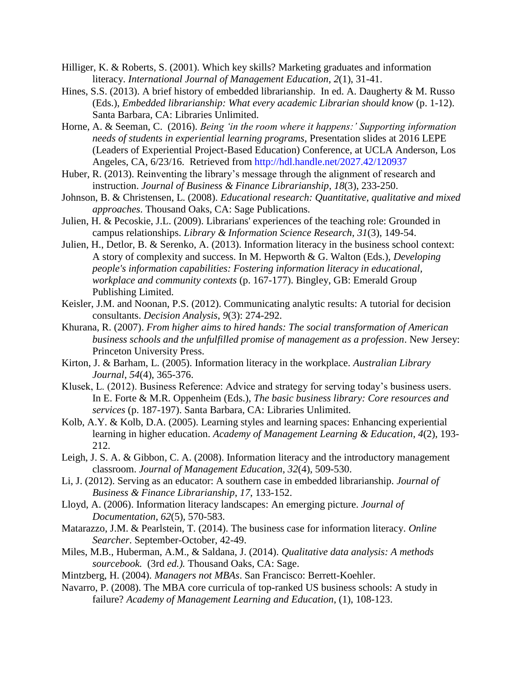- Hilliger, K. & Roberts, S. (2001). Which key skills? Marketing graduates and information literacy. *International Journal of Management Education*, *2*(1), 31-41.
- Hines, S.S. (2013). A brief history of embedded librarianship. In ed. A. Daugherty & M. Russo (Eds.), *Embedded librarianship: What every academic Librarian should know* (p. 1-12). Santa Barbara, CA: Libraries Unlimited.
- Horne, A. & Seeman, C. (2016). *Being 'in the room where it happens:' Supporting information needs of students in experiential learning programs*, Presentation slides at 2016 LEPE (Leaders of Experiential Project-Based Education) Conference, at UCLA Anderson, Los Angeles, CA, 6/23/16. Retrieved from<http://hdl.handle.net/2027.42/120937>
- Huber, R. (2013). Reinventing the library's message through the alignment of research and instruction. *Journal of Business & Finance Librarianship*, *18*(3), 233-250.
- Johnson, B. & Christensen, L. (2008). *Educational research: Quantitative, qualitative and mixed approaches*. Thousand Oaks, CA: Sage Publications.
- Julien, H. & Pecoskie, J.L. (2009). Librarians' experiences of the teaching role: Grounded in campus relationships. *Library & Information Science Research*, *31*(3), 149-54.
- Julien, H., Detlor, B. & Serenko, A. (2013). Information literacy in the business school context: A story of complexity and success. In M. Hepworth & G. Walton (Eds.), *Developing people's information capabilities: Fostering information literacy in educational, workplace and community contexts* (p. 167-177). Bingley, GB: Emerald Group Publishing Limited.
- Keisler, J.M. and Noonan, P.S. (2012). Communicating analytic results: A tutorial for decision consultants. *Decision Analysis*, *9*(3): 274-292.
- Khurana, R. (2007). *From higher aims to hired hands: The social transformation of American business schools and the unfulfilled promise of management as a profession*. New Jersey: Princeton University Press.
- Kirton, J. & Barham, L. (2005). Information literacy in the workplace. *Australian Library Journal*, *54*(4), 365-376.
- Klusek, L. (2012). Business Reference: Advice and strategy for serving today's business users. In E. Forte & M.R. Oppenheim (Eds.), *The basic business library: Core resources and services* (p. 187-197). Santa Barbara, CA: Libraries Unlimited.
- Kolb, A.Y. & Kolb, D.A. (2005). Learning styles and learning spaces: Enhancing experiential learning in higher education. *Academy of Management Learning & Education*, *4*(2), 193- 212.
- Leigh, J. S. A. & Gibbon, C. A. (2008). Information literacy and the introductory management classroom. *Journal of Management Education*, *32*(4), 509-530.
- Li, J. (2012). Serving as an educator: A southern case in embedded librarianship. *Journal of Business & Finance Librarianship*, *17*, 133-152.
- Lloyd, A. (2006). Information literacy landscapes: An emerging picture. *Journal of Documentation*, *62*(5), 570-583.
- Matarazzo, J.M. & Pearlstein, T. (2014). The business case for information literacy. *Online Searcher*. September-October, 42-49.
- Miles, M.B., Huberman, A.M., & Saldana, J. (2014). *Qualitative data analysis: A methods sourcebook.* (3rd *ed.).* Thousand Oaks, CA: Sage.
- Mintzberg, H. (2004). *Managers not MBAs*. San Francisco: Berrett-Koehler.
- Navarro, P. (2008). The MBA core curricula of top-ranked US business schools: A study in failure? *Academy of Management Learning and Education*, (1), 108-123.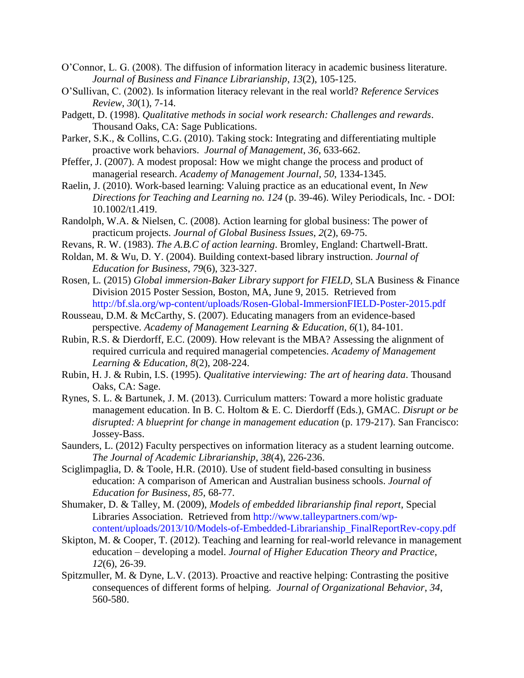- O'Connor, L. G. (2008). The diffusion of information literacy in academic business literature. *Journal of Business and Finance Librarianship*, *13*(2), 105-125.
- O'Sullivan, C. (2002). Is information literacy relevant in the real world? *Reference Services Review*, *30*(1), 7-14.
- Padgett, D. (1998). *Qualitative methods in social work research: Challenges and rewards*. Thousand Oaks, CA: Sage Publications.
- Parker, S.K., & Collins, C.G. (2010). Taking stock: Integrating and differentiating multiple proactive work behaviors. *Journal of Management*, *36*, 633-662.
- Pfeffer, J. (2007). A modest proposal: How we might change the process and product of managerial research. *Academy of Management Journal*, *50*, 1334-1345.
- Raelin, J. (2010). Work-based learning: Valuing practice as an educational event, In *New Directions for Teaching and Learning no. 124* (p. 39-46). Wiley Periodicals, Inc. - DOI: 10.1002/t1.419.
- Randolph, W.A. & Nielsen, C. (2008). Action learning for global business: The power of practicum projects. *Journal of Global Business Issues*, *2*(2), 69-75.
- Revans, R. W. (1983). *The A.B.C of action learning*. Bromley, England: Chartwell-Bratt.
- Roldan, M. & Wu, D. Y. (2004). Building context-based library instruction. *Journal of Education for Business*, *79*(6), 323-327.
- Rosen, L. (2015) *Global immersion-Baker Library support for FIELD,* SLA Business & Finance Division 2015 Poster Session, Boston, MA, June 9, 2015. Retrieved from <http://bf.sla.org/wp-content/uploads/Rosen-Global-ImmersionFIELD-Poster-2015.pdf>
- Rousseau, D.M. & McCarthy, S. (2007). Educating managers from an evidence-based perspective. *Academy of Management Learning & Education*, *6*(1), 84-101.
- Rubin, R.S. & Dierdorff, E.C. (2009). How relevant is the MBA? Assessing the alignment of required curricula and required managerial competencies. *Academy of Management Learning & Education, 8*(2), 208-224.
- Rubin, H. J. & Rubin, I.S. (1995). *Qualitative interviewing: The art of hearing data*. Thousand Oaks, CA: Sage.
- Rynes, S. L. & Bartunek, J. M. (2013). Curriculum matters: Toward a more holistic graduate management education. In B. C. Holtom & E. C. Dierdorff (Eds.), GMAC. *Disrupt or be disrupted: A blueprint for change in management education* (p. 179-217). San Francisco: Jossey-Bass.
- Saunders, L. (2012) Faculty perspectives on information literacy as a student learning outcome. *The Journal of Academic Librarianship*, *38*(4), 226-236.
- Sciglimpaglia, D. & Toole, H.R. (2010). Use of student field-based consulting in business education: A comparison of American and Australian business schools. *Journal of Education for Business*, *85*, 68-77.
- Shumaker, D. & Talley, M. (2009), *Models of embedded librarianship final report*, Special Libraries Association. Retrieved from [http://www.talleypartners.com/wp](http://www.talleypartners.com/wp-content/uploads/2013/10/Models-of-Embedded-Librarianship_FinalReportRev-copy.pdf)[content/uploads/2013/10/Models-of-Embedded-Librarianship\\_FinalReportRev-copy.pdf](http://www.talleypartners.com/wp-content/uploads/2013/10/Models-of-Embedded-Librarianship_FinalReportRev-copy.pdf)
- Skipton, M. & Cooper, T. (2012). Teaching and learning for real-world relevance in management education – developing a model. *Journal of Higher Education Theory and Practice*, *12*(6), 26-39.
- Spitzmuller, M. & Dyne, L.V. (2013). Proactive and reactive helping: Contrasting the positive consequences of different forms of helping. *Journal of Organizational Behavior*, *34*, 560-580.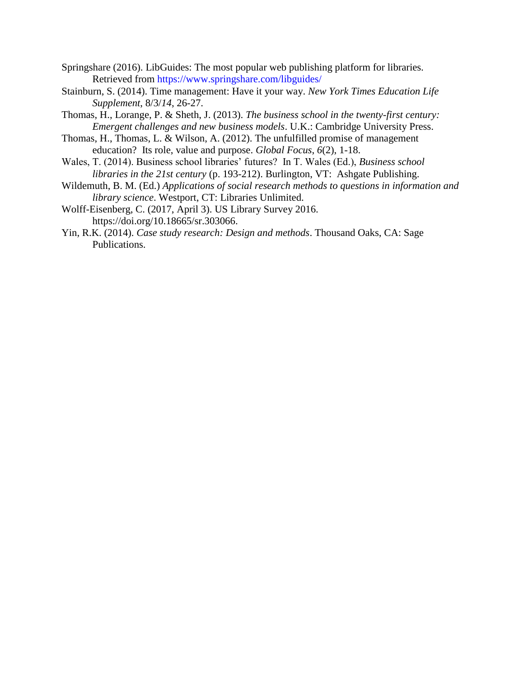- Springshare (2016). LibGuides: The most popular web publishing platform for libraries. Retrieved from<https://www.springshare.com/libguides/>
- Stainburn, S. (2014). Time management: Have it your way. *New York Times Education Life Supplement*, 8/3/*14*, 26-27.
- Thomas, H., Lorange, P. & Sheth, J. (2013). *The business school in the twenty-first century: Emergent challenges and new business models*. U.K.: Cambridge University Press.
- Thomas, H., Thomas, L. & Wilson, A. (2012). The unfulfilled promise of management education? Its role, value and purpose. *Global Focus*, *6*(2), 1-18.
- Wales, T. (2014). Business school libraries' futures? In T. Wales (Ed.), *Business school libraries in the 21st century* (p. 193-212). Burlington, VT: Ashgate Publishing.
- Wildemuth, B. M. (Ed.) *Applications of social research methods to questions in information and library science*. Westport, CT: Libraries Unlimited.
- Wolff-Eisenberg, C. (2017, April 3). US Library Survey 2016. https://doi.org/10.18665/sr.303066.
- Yin, R.K. (2014). *Case study research: Design and methods*. Thousand Oaks, CA: Sage Publications.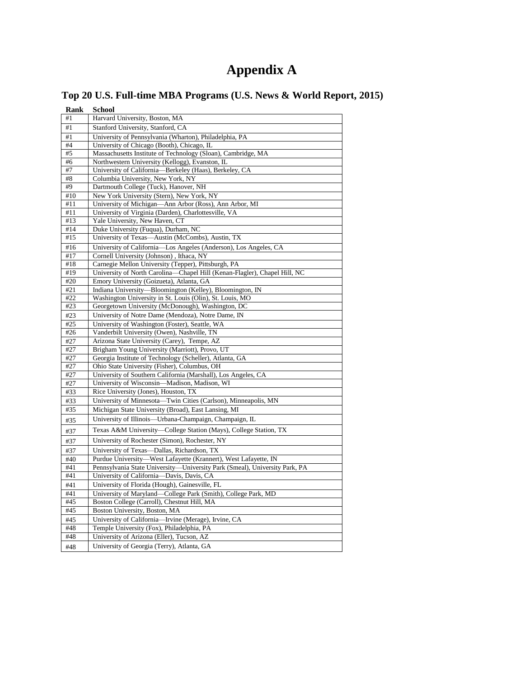# **Appendix A**

|  |  | Top 20 U.S. Full-time MBA Programs (U.S. News & World Report, 2015) |  |  |  |
|--|--|---------------------------------------------------------------------|--|--|--|
|  |  |                                                                     |  |  |  |

| <b>Rank</b> | <b>School</b>                                                                          |
|-------------|----------------------------------------------------------------------------------------|
| #1          | Harvard University, Boston, MA                                                         |
| #1          | Stanford University, Stanford, CA                                                      |
| #1          | University of Pennsylvania (Wharton), Philadelphia, PA                                 |
| #4          | University of Chicago (Booth), Chicago, IL                                             |
| #5          | Massachusetts Institute of Technology (Sloan), Cambridge, MA                           |
| #6          | Northwestern University (Kellogg), Evanston, IL                                        |
| #7          | University of California-Berkeley (Haas), Berkeley, CA                                 |
| #8          | Columbia University, New York, NY                                                      |
| #9          | Dartmouth College (Tuck), Hanover, NH                                                  |
| #10         | New York University (Stern), New York, NY                                              |
| #11         | University of Michigan-Ann Arbor (Ross), Ann Arbor, MI                                 |
| #11<br>#13  | University of Virginia (Darden), Charlottesville, VA<br>Yale University, New Haven, CT |
| #14         | Duke University (Fuqua), Durham, NC                                                    |
| #15         | University of Texas-Austin (McCombs), Austin, TX                                       |
| #16         | University of California-Los Angeles (Anderson), Los Angeles, CA                       |
| #17         | Cornell University (Johnson), Ithaca, NY                                               |
| #18         | Carnegie Mellon University (Tepper), Pittsburgh, PA                                    |
| #19         | University of North Carolina-Chapel Hill (Kenan-Flagler), Chapel Hill, NC              |
| #20         | Emory University (Goizueta), Atlanta, GA                                               |
| #21         | Indiana University-Bloomington (Kelley), Bloomington, IN                               |
| #22         | Washington University in St. Louis (Olin), St. Louis, MO                               |
| #23         | Georgetown University (McDonough), Washington, DC                                      |
| #23         | University of Notre Dame (Mendoza), Notre Dame, IN                                     |
| #25         | University of Washington (Foster), Seattle, WA                                         |
| #26         | Vanderbilt University (Owen), Nashville, TN                                            |
| #27         | Arizona State University (Carey), Tempe, AZ                                            |
| #27         | Brigham Young University (Marriott), Provo, UT                                         |
| #27         | Georgia Institute of Technology (Scheller), Atlanta, GA                                |
| #27         | Ohio State University (Fisher), Columbus, OH                                           |
| #27         | University of Southern California (Marshall), Los Angeles, CA                          |
| #27         | University of Wisconsin-Madison, Madison, WI                                           |
| #33<br>#33  | Rice University (Jones), Houston, TX                                                   |
|             | University of Minnesota-Twin Cities (Carlson), Minneapolis, MN                         |
| #35         | Michigan State University (Broad), East Lansing, MI                                    |
| #35         | University of Illinois-Urbana-Champaign, Champaign, IL                                 |
| #37         | Texas A&M University-College Station (Mays), College Station, TX                       |
| #37         | University of Rochester (Simon), Rochester, NY                                         |
| #37         | University of Texas-Dallas, Richardson, TX                                             |
| #40         | Purdue University-West Lafayette (Krannert), West Lafayette, IN                        |
| #41         | Pennsylvania State University-University Park (Smeal), University Park, PA             |
| #41         | University of California-Davis, Davis, CA                                              |
| #41         | University of Florida (Hough), Gainesville, FL                                         |
| #41         | University of Maryland-College Park (Smith), College Park, MD                          |
| #45         | Boston College (Carroll), Chestnut Hill, MA                                            |
| #45         | Boston University, Boston, MA                                                          |
| #45         | University of California-Irvine (Merage), Irvine, CA                                   |
| #48         | Temple University (Fox), Philadelphia, PA                                              |
| #48         | University of Arizona (Eller), Tucson, AZ                                              |
| #48         | University of Georgia (Terry), Atlanta, GA                                             |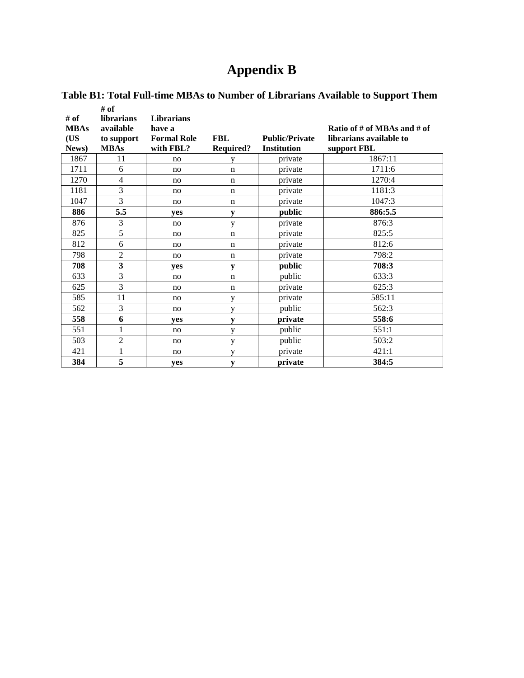# **Appendix B**

|             | # of              |                    |                  |                       |                             |
|-------------|-------------------|--------------------|------------------|-----------------------|-----------------------------|
| # of        | <b>librarians</b> | <b>Librarians</b>  |                  |                       |                             |
| <b>MBAs</b> | available         | have a             |                  |                       | Ratio of # of MBAs and # of |
| (US         | to support        | <b>Formal Role</b> | <b>FBL</b>       | <b>Public/Private</b> | librarians available to     |
| News)       | <b>MBAs</b>       | with FBL?          | <b>Required?</b> | <b>Institution</b>    | support FBL                 |
| 1867        | 11                | no                 | y                | private               | 1867:11                     |
| 1711        | 6                 | no                 | $\mathbf n$      | private               | 1711:6                      |
| 1270        | $\overline{4}$    | no                 | $\mathbf n$      | private               | 1270:4                      |
| 1181        | 3                 | no                 | $\mathbf n$      | private               | 1181:3                      |
| 1047        | 3                 | no                 | $\mathbf n$      | private               | 1047:3                      |
| 886         | 5.5               | ves                | ${\bf v}$        | public                | 886:5.5                     |
| 876         | 3                 | no                 | V                | private               | 876:3                       |
| 825         | 5                 | no                 | $\mathbf n$      | private               | 825:5                       |
| 812         | 6                 | no                 | $\mathbf n$      | private               | 812:6                       |
| 798         | $\overline{2}$    | no                 | $\mathbf n$      | private               | 798:2                       |
| 708         | 3                 | ves                | y                | public                | 708:3                       |
| 633         | 3                 | no                 | n                | public                | 633:3                       |
| 625         | 3                 | no                 | $\mathbf n$      | private               | 625:3                       |
| 585         | 11                | no                 | y                | private               | 585:11                      |
| 562         | 3                 | no                 | y                | public                | 562:3                       |
| 558         | 6                 | yes                | y                | private               | 558:6                       |
| 551         | 1                 | no                 | y                | public                | 551:1                       |
| 503         | $\overline{2}$    | no                 | y                | public                | 503:2                       |
| 421         | 1                 | no                 | y                | private               | 421:1                       |
| 384         | 5                 | yes                | y                | private               | 384:5                       |

# **Table B1: Total Full-time MBAs to Number of Librarians Available to Support Them**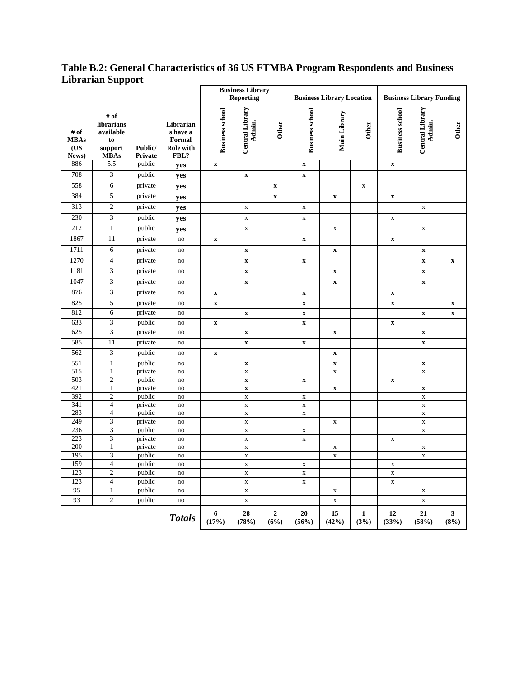## **Table B.2: General Characteristics of 36 US FTMBA Program Respondents and Business Librarian Support**

|                                     |                                                                 |                    |                                                             | <b>Business Library</b><br><b>Reporting</b> |                                          | <b>Business Library Location</b> |                           | <b>Business Library Funding</b> |             |                           |                                          |                           |
|-------------------------------------|-----------------------------------------------------------------|--------------------|-------------------------------------------------------------|---------------------------------------------|------------------------------------------|----------------------------------|---------------------------|---------------------------------|-------------|---------------------------|------------------------------------------|---------------------------|
| # of<br><b>MBAs</b><br>(US<br>News) | # of<br>librarians<br>available<br>to<br>support<br><b>MBAs</b> | Public/<br>Private | Librarian<br>s have a<br>Formal<br><b>Role with</b><br>FBL? | <b>Business school</b>                      | Central Library<br>Admin.                | <b>Other</b>                     | <b>Business school</b>    | Main Library                    | Other       | <b>Business school</b>    | Central Library<br>Admin.                | Other                     |
| 886                                 | 5.5                                                             | public             | yes                                                         | $\mathbf x$                                 |                                          |                                  | $\mathbf X$               |                                 |             | $\mathbf X$               |                                          |                           |
| 708                                 | 3                                                               | public             | yes                                                         |                                             | $\mathbf x$                              |                                  | $\mathbf X$               |                                 |             |                           |                                          |                           |
| 558                                 | 6                                                               | private            | yes                                                         |                                             |                                          | $\mathbf x$                      |                           |                                 | $\mathbf X$ |                           |                                          |                           |
| 384                                 | 5                                                               | private            | yes                                                         |                                             |                                          | $\boldsymbol{\mathrm{X}}$        |                           | $\boldsymbol{\mathrm{X}}$       |             | $\boldsymbol{\mathrm{X}}$ |                                          |                           |
| 313                                 | $\mathfrak{2}$                                                  | private            | yes                                                         |                                             | $\mathbf X$                              |                                  | $\mathbf X$               |                                 |             |                           | $\mathbf X$                              |                           |
| 230                                 | 3                                                               | public             | yes                                                         |                                             | $\mathbf X$                              |                                  | $\mathbf X$               |                                 |             | $\mathbf X$               |                                          |                           |
| 212                                 | $\mathbf{1}$                                                    | public             | yes                                                         |                                             | $\mathbf X$                              |                                  |                           | $\mathbf X$                     |             |                           | $\mathbf x$                              |                           |
| 1867                                | 11                                                              | private            | no                                                          | $\mathbf x$                                 |                                          |                                  | $\mathbf X$               |                                 |             | $\boldsymbol{\mathrm{X}}$ |                                          |                           |
| 1711                                | 6                                                               | private            | no                                                          |                                             | $\boldsymbol{\mathrm{X}}$                |                                  |                           | $\boldsymbol{\mathrm{X}}$       |             |                           | $\boldsymbol{\mathrm{x}}$                |                           |
| 1270                                | $\overline{4}$                                                  | private            | no                                                          |                                             | $\boldsymbol{\mathrm{X}}$                |                                  | $\mathbf X$               |                                 |             |                           | $\mathbf x$                              | $\boldsymbol{\mathrm{X}}$ |
| 1181                                | 3                                                               | private            | no                                                          |                                             | $\boldsymbol{\mathrm{X}}$                |                                  |                           | $\mathbf x$                     |             |                           | $\boldsymbol{\mathrm{X}}$                |                           |
| 1047                                | $\overline{\mathbf{3}}$                                         | private            | no                                                          |                                             | $\boldsymbol{\mathrm{X}}$                |                                  |                           | $\mathbf X$                     |             |                           | $\mathbf x$                              |                           |
| 876                                 | 3                                                               | private            | no                                                          | $\mathbf X$                                 |                                          |                                  | $\mathbf X$               |                                 |             | $\boldsymbol{\mathrm{X}}$ |                                          |                           |
| 825                                 | 5                                                               | private            | no                                                          | $\mathbf X$                                 |                                          |                                  | $\boldsymbol{\mathrm{x}}$ |                                 |             | $\boldsymbol{\mathrm{X}}$ |                                          | $\boldsymbol{\mathrm{X}}$ |
| 812                                 | 6                                                               | private            | no                                                          |                                             | $\boldsymbol{\mathrm{X}}$                |                                  | $\mathbf X$               |                                 |             |                           | $\mathbf x$                              | $\boldsymbol{\mathrm{X}}$ |
| 633                                 | $\mathfrak{Z}$                                                  | public             | no                                                          | $\boldsymbol{\mathrm{X}}$                   |                                          |                                  | $\mathbf X$               |                                 |             | $\mathbf x$               |                                          |                           |
| 625                                 | $\overline{\mathbf{3}}$                                         | private            | no                                                          |                                             | $\boldsymbol{\mathrm{X}}$                |                                  |                           | $\boldsymbol{\mathrm{X}}$       |             |                           | $\boldsymbol{\mathrm{X}}$                |                           |
| 585                                 | 11                                                              | private            | no                                                          |                                             | $\mathbf x$                              |                                  | $\mathbf X$               |                                 |             |                           | $\mathbf x$                              |                           |
| 562                                 | 3                                                               | public             | no                                                          | $\mathbf X$                                 |                                          |                                  |                           | $\mathbf x$                     |             |                           |                                          |                           |
| 551                                 | 1                                                               | public             | no                                                          |                                             | $\boldsymbol{\mathrm{X}}$                |                                  |                           | $\boldsymbol{\mathrm{X}}$       |             |                           | $\boldsymbol{\mathrm{x}}$                |                           |
| 515                                 | 1                                                               | private            | no                                                          |                                             | $\mathbf X$                              |                                  |                           | $\mathbf X$                     |             |                           | $\mathbf X$                              |                           |
| 503<br>421                          | $\mathfrak{2}$                                                  | public             | no                                                          |                                             | $\boldsymbol{\mathrm{X}}$                |                                  | $\boldsymbol{\mathrm{X}}$ |                                 |             | $\boldsymbol{\mathrm{X}}$ |                                          |                           |
| 392                                 | 1<br>$\mathfrak{2}$                                             | private<br>public  | no<br>no                                                    |                                             | $\boldsymbol{\mathrm{X}}$<br>$\mathbf X$ |                                  | $\mathbf X$               | $\boldsymbol{\mathrm{X}}$       |             |                           | $\boldsymbol{\mathrm{X}}$<br>$\mathbf X$ |                           |
| 341                                 | $\overline{4}$                                                  | private            | no                                                          |                                             | $\mathbf X$                              |                                  | $\mathbf X$               |                                 |             |                           | $\mathbf X$                              |                           |
| 283                                 | $\overline{4}$                                                  | public             | no                                                          |                                             | $\mathbf X$                              |                                  | $\mathbf X$               |                                 |             |                           | $\mathbf X$                              |                           |
| 249                                 | $\mathfrak{Z}$                                                  | private            | no                                                          |                                             | $\mathbf X$                              |                                  |                           | $\mathbf X$                     |             |                           | $\mathbf x$                              |                           |
| 236                                 | 3                                                               | public             | no                                                          |                                             | $\mathbf X$                              |                                  | $\mathbf X$               |                                 |             |                           | $\mathbf X$                              |                           |
| 223                                 | 3                                                               | private            | no                                                          |                                             | $\mathbf X$                              |                                  | $\mathbf X$               |                                 |             | $\mathbf X$               |                                          |                           |
| 200                                 | $\mathbf{1}$                                                    | private            | no                                                          |                                             | $\mathbf X$                              |                                  |                           | $\mathbf X$                     |             |                           | $\mathbf X$                              |                           |
| 195                                 | 3                                                               | public             | no                                                          |                                             | $\mathbf X$                              |                                  |                           | $\mathbf X$                     |             |                           | $\mathbf x$                              |                           |
| 159                                 | $\overline{4}$                                                  | public             | no                                                          |                                             | $\mathbf X$                              |                                  | $\mathbf X$               |                                 |             | $\mathbf X$               |                                          |                           |
| 123<br>123                          | $\mathfrak{2}$<br>$\overline{4}$                                | public             | no                                                          |                                             | $\mathbf X$                              |                                  | $\mathbf X$               |                                 |             | $\mathbf X$               |                                          |                           |
| 95                                  |                                                                 | public             | no                                                          |                                             | $\mathbf X$                              |                                  | $\mathbf x$               |                                 |             | $\mathbf X$               |                                          |                           |
| 93                                  | $\mathbf{1}$<br>$\overline{2}$                                  | public             | no                                                          |                                             | $\mathbf X$                              |                                  |                           | $\mathbf X$                     |             |                           | $\mathbf X$                              |                           |
|                                     |                                                                 | public             | no                                                          |                                             | $\mathbf X$                              |                                  |                           | $\mathbf X$                     |             |                           | $\mathbf X$                              |                           |
|                                     |                                                                 |                    | <b>Totals</b>                                               | 6<br>(17%)                                  | 28<br>(78%)                              | $\overline{2}$<br>(6%)           | 20<br>(56%)               | 15<br>(42%)                     | 1<br>(3%)   | 12<br>(33%)               | 21<br>(58%)                              | 3<br>(8%)                 |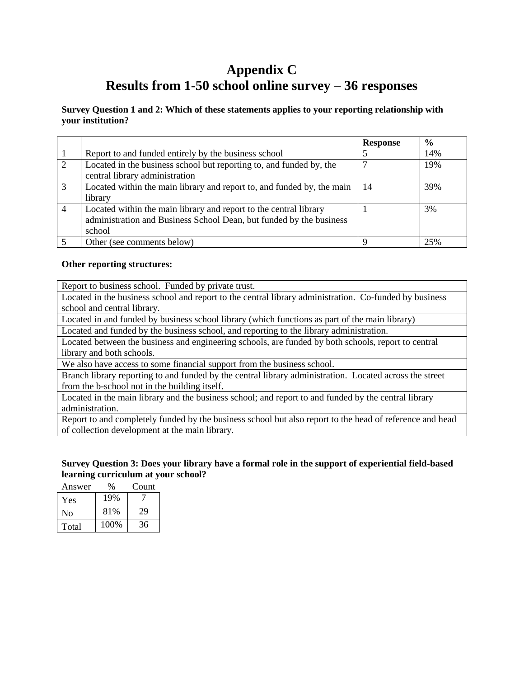# **Appendix C Results from 1-50 school online survey – 36 responses**

#### **Survey Question 1 and 2: Which of these statements applies to your reporting relationship with your institution?**

|                |                                                                        | <b>Response</b> | $\frac{6}{9}$ |
|----------------|------------------------------------------------------------------------|-----------------|---------------|
|                | Report to and funded entirely by the business school                   |                 | 14%           |
| $\overline{2}$ | Located in the business school but reporting to, and funded by, the    |                 | 19%           |
|                | central library administration                                         |                 |               |
| 3              | Located within the main library and report to, and funded by, the main | 14              | 39%           |
|                | library                                                                |                 |               |
| 4              | Located within the main library and report to the central library      |                 | 3%            |
|                | administration and Business School Dean, but funded by the business    |                 |               |
|                | school                                                                 |                 |               |
|                | Other (see comments below)                                             | Q               | 25%           |

#### **Other reporting structures:**

Report to business school. Funded by private trust.

Located in the business school and report to the central library administration. Co-funded by business school and central library.

Located in and funded by business school library (which functions as part of the main library)

Located and funded by the business school, and reporting to the library administration.

Located between the business and engineering schools, are funded by both schools, report to central library and both schools.

We also have access to some financial support from the business school.

Branch library reporting to and funded by the central library administration. Located across the street from the b-school not in the building itself.

Located in the main library and the business school; and report to and funded by the central library administration.

Report to and completely funded by the business school but also report to the head of reference and head of collection development at the main library.

#### **Survey Question 3: Does your library have a formal role in the support of experiential field-based learning curriculum at your school?**

| Answer | $\%$ | Count |
|--------|------|-------|
| Yes    | 19%  |       |
| No     | 81%  | 29    |
| Total  | 100% | 36    |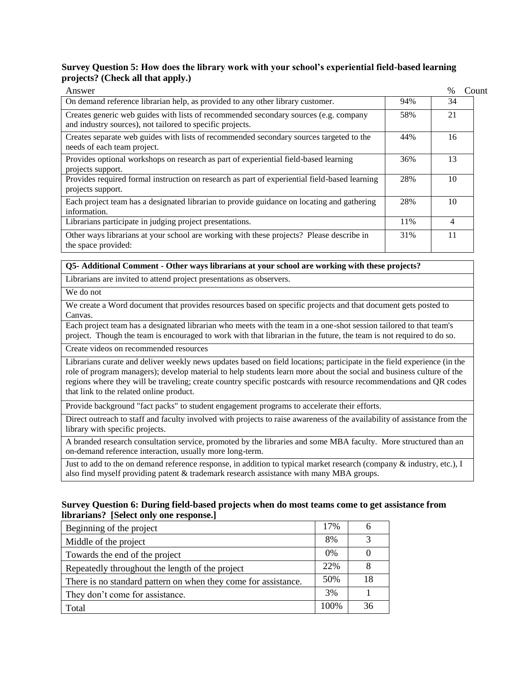#### **Survey Question 5: How does the library work with your school's experiential field-based learning projects? (Check all that apply.)**

| Answer                                                                                                                                            |     | $\frac{0}{0}$<br>Count |
|---------------------------------------------------------------------------------------------------------------------------------------------------|-----|------------------------|
| On demand reference librarian help, as provided to any other library customer.                                                                    | 94% | 34                     |
| Creates generic web guides with lists of recommended secondary sources (e.g. company<br>and industry sources), not tailored to specific projects. | 58% | 21                     |
| Creates separate web guides with lists of recommended secondary sources targeted to the<br>needs of each team project.                            | 44% | 16                     |
| Provides optional workshops on research as part of experiential field-based learning<br>projects support.                                         | 36% | 13                     |
| Provides required formal instruction on research as part of experiential field-based learning<br>projects support.                                | 28% | 10                     |
| Each project team has a designated librarian to provide guidance on locating and gathering<br>information.                                        | 28% | 10                     |
| Librarians participate in judging project presentations.                                                                                          | 11% | 4                      |
| Other ways librarians at your school are working with these projects? Please describe in<br>the space provided:                                   | 31% | 11                     |

#### **Q5- Additional Comment - Other ways librarians at your school are working with these projects?**

Librarians are invited to attend project presentations as observers.

We do not

We create a Word document that provides resources based on specific projects and that document gets posted to Canvas.

Each project team has a designated librarian who meets with the team in a one-shot session tailored to that team's project. Though the team is encouraged to work with that librarian in the future, the team is not required to do so.

Create videos on recommended resources

Librarians curate and deliver weekly news updates based on field locations; participate in the field experience (in the role of program managers); develop material to help students learn more about the social and business culture of the regions where they will be traveling; create country specific postcards with resource recommendations and QR codes that link to the related online product.

Provide background "fact packs" to student engagement programs to accelerate their efforts.

Direct outreach to staff and faculty involved with projects to raise awareness of the availability of assistance from the library with specific projects.

A branded research consultation service, promoted by the libraries and some MBA faculty. More structured than an on-demand reference interaction, usually more long-term.

Just to add to the on demand reference response, in addition to typical market research (company & industry, etc.), I also find myself providing patent & trademark research assistance with many MBA groups.

#### **Survey Question 6: During field-based projects when do most teams come to get assistance from librarians? [Select only one response.]**

| Beginning of the project                                       | 17%  | h  |
|----------------------------------------------------------------|------|----|
| Middle of the project                                          | 8%   |    |
| Towards the end of the project                                 | 0%   |    |
| Repeatedly throughout the length of the project                | 22%  |    |
| There is no standard pattern on when they come for assistance. | 50%  | 18 |
| They don't come for assistance.                                | 3%   |    |
| Total                                                          | 100% | 36 |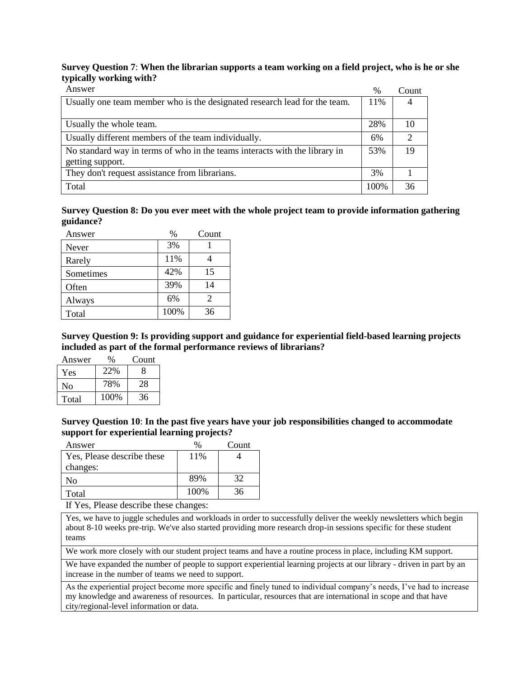#### **Survey Question 7**: **When the librarian supports a team working on a field project, who is he or she typically working with?**

| Answer                                                                     | $\%$ | Count                       |
|----------------------------------------------------------------------------|------|-----------------------------|
| Usually one team member who is the designated research lead for the team.  | 11%  | 4                           |
|                                                                            |      |                             |
| Usually the whole team.                                                    | 28%  | 10                          |
| Usually different members of the team individually.                        | 6%   | $\mathcal{D}_{\mathcal{L}}$ |
| No standard way in terms of who in the teams interacts with the library in | 53%  | 19                          |
| getting support.                                                           |      |                             |
| They don't request assistance from librarians.                             | 3%   |                             |
| Total                                                                      | 100% | 36                          |

**Survey Question 8: Do you ever meet with the whole project team to provide information gathering guidance?**

| Answer    | $\%$ | Count |
|-----------|------|-------|
| Never     | 3%   |       |
| Rarely    | 11%  |       |
| Sometimes | 42%  | 15    |
| Often     | 39%  | 14    |
| Always    | 6%   | 2     |
| Total     | 100% | 36    |

**Survey Question 9: Is providing support and guidance for experiential field-based learning projects included as part of the formal performance reviews of librarians?**

| Answer | $\%$ | Count |
|--------|------|-------|
| Yes    | 22%  | 8     |
| No     | 78%  | 28    |
| Total  | 100% | 36    |

**Survey Question 10**: **In the past five years have your job responsibilities changed to accommodate support for experiential learning projects?**

| Answer                     |       | Count |
|----------------------------|-------|-------|
| Yes, Please describe these | 11%   |       |
| changes:                   |       |       |
| Nο                         | 89%   | 32    |
| Total                      | 100\% | 36    |

If Yes, Please describe these changes:

Yes, we have to juggle schedules and workloads in order to successfully deliver the weekly newsletters which begin about 8-10 weeks pre-trip. We've also started providing more research drop-in sessions specific for these student teams

We work more closely with our student project teams and have a routine process in place, including KM support.

We have expanded the number of people to support experiential learning projects at our library - driven in part by an increase in the number of teams we need to support.

As the experiential project become more specific and finely tuned to individual company's needs, I've had to increase my knowledge and awareness of resources. In particular, resources that are international in scope and that have city/regional-level information or data.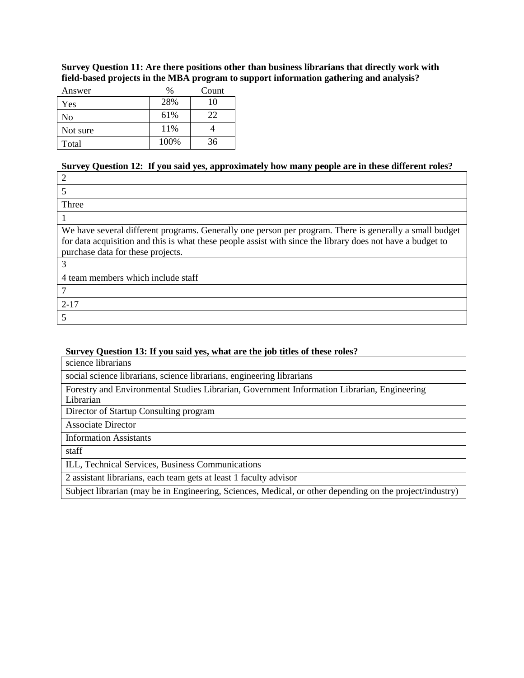**Survey Question 11: Are there positions other than business librarians that directly work with field-based projects in the MBA program to support information gathering and analysis?**

| Answer   | $\frac{0}{0}$ | Count |
|----------|---------------|-------|
| Yes      | 28%           | 10    |
| No       | 61%           | 22    |
| Not sure | 11%           |       |
| Total    | 100%          | 36    |

#### **Survey Question 12: If you said yes, approximately how many people are in these different roles?**

| Three                                                                                                      |
|------------------------------------------------------------------------------------------------------------|
|                                                                                                            |
| We have several different programs. Generally one person per program. There is generally a small budget    |
| for data acquisition and this is what these people assist with since the library does not have a budget to |
| purchase data for these projects.                                                                          |
| 3                                                                                                          |
| 4 team members which include staff                                                                         |
|                                                                                                            |
| $2 - 17$                                                                                                   |
|                                                                                                            |

#### **Survey Question 13: If you said yes, what are the job titles of these roles?**

| science librarians                                                                          |
|---------------------------------------------------------------------------------------------|
| social science librarians, science librarians, engineering librarians                       |
| Forestry and Environmental Studies Librarian, Government Information Librarian, Engineering |
| Librarian                                                                                   |
| Director of Startup Consulting program                                                      |
| <b>Associate Director</b>                                                                   |
| $\mathbf{r}$ c $\mathbf{r}$ and $\mathbf{r}$                                                |

Information Assistants

staff

ILL, Technical Services, Business Communications

2 assistant librarians, each team gets at least 1 faculty advisor

Subject librarian (may be in Engineering, Sciences, Medical, or other depending on the project/industry)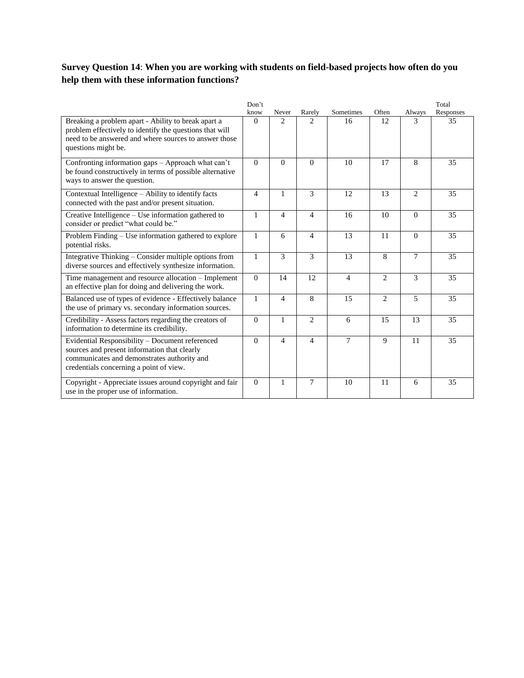## **Survey Question 14**: **When you are working with students on field-based projects how often do you help them with these information functions?**

|                                                                                                                                                                                                | Don't          |                |                |                |                |                | Total     |
|------------------------------------------------------------------------------------------------------------------------------------------------------------------------------------------------|----------------|----------------|----------------|----------------|----------------|----------------|-----------|
|                                                                                                                                                                                                | know           | Never          | Rarely         | Sometimes      | Often          | Always         | Responses |
| Breaking a problem apart - Ability to break apart a<br>problem effectively to identify the questions that will<br>need to be answered and where sources to answer those<br>questions might be. | $\Omega$       | 2              | 2              | 16             | 12             | 3              | 35        |
| Confronting information gaps - Approach what can't<br>be found constructively in terms of possible alternative<br>ways to answer the question.                                                 | $\Omega$       | $\Omega$       | $\Omega$       | 10             | 17             | 8              | 35        |
| Contextual Intelligence – Ability to identify facts<br>connected with the past and/or present situation.                                                                                       | $\overline{4}$ | 1              | 3              | 12             | 13             | $\overline{2}$ | 35        |
| Creative Intelligence - Use information gathered to<br>consider or predict "what could be."                                                                                                    | $\mathbf{1}$   | $\overline{4}$ | $\overline{4}$ | 16             | 10             | $\Omega$       | 35        |
| Problem Finding – Use information gathered to explore<br>potential risks.                                                                                                                      | $\mathbf{1}$   | 6              | $\overline{4}$ | 13             | 11             | $\Omega$       | 35        |
| Integrative Thinking – Consider multiple options from<br>diverse sources and effectively synthesize information.                                                                               | $\mathbf{1}$   | 3              | 3              | 13             | 8              | 7              | 35        |
| Time management and resource allocation - Implement<br>an effective plan for doing and delivering the work.                                                                                    | $\Omega$       | 14             | 12             | $\overline{4}$ | $\overline{2}$ | 3              | 35        |
| Balanced use of types of evidence - Effectively balance<br>the use of primary vs. secondary information sources.                                                                               | $\mathbf{1}$   | 4              | 8              | 15             | 2              | 5              | 35        |
| Credibility - Assess factors regarding the creators of<br>information to determine its credibility.                                                                                            | $\Omega$       | $\mathbf{1}$   | $\overline{2}$ | 6              | 15             | 13             | 35        |
| Evidential Responsibility - Document referenced<br>sources and present information that clearly<br>communicates and demonstrates authority and<br>credentials concerning a point of view.      | $\Omega$       | 4              | $\overline{4}$ | 7              | 9              | 11             | 35        |
| Copyright - Appreciate issues around copyright and fair<br>use in the proper use of information.                                                                                               | $\Omega$       | $\mathbf{1}$   | $\overline{7}$ | 10             | 11             | 6              | 35        |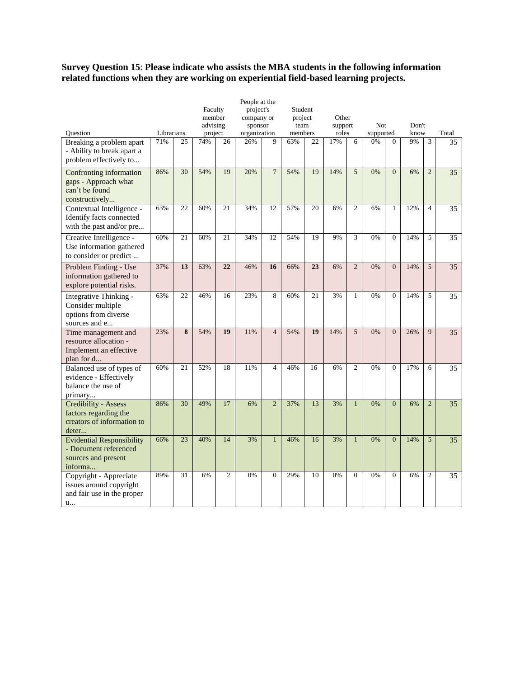#### **Survey Question 15**: **Please indicate who assists the MBA students in the following information related functions when they are working on experiential field-based learning projects.**

| People at the                                                                               |            |                         |                   |                 |                                               |                |         |                 |         |                |           |                |       |                |                 |
|---------------------------------------------------------------------------------------------|------------|-------------------------|-------------------|-----------------|-----------------------------------------------|----------------|---------|-----------------|---------|----------------|-----------|----------------|-------|----------------|-----------------|
|                                                                                             |            |                         | Faculty<br>member |                 | project's<br>Student<br>company or<br>project |                | Other   |                 |         |                |           |                |       |                |                 |
|                                                                                             |            |                         | advising          |                 | sponsor                                       |                | team    |                 | support |                | Not       |                | Don't |                |                 |
| Question                                                                                    | Librarians |                         | project           |                 | organization                                  |                | members |                 | roles   |                | supported |                | know  |                | Total           |
| Breaking a problem apart<br>- Ability to break apart a<br>problem effectively to            | 71%        | 25                      | 74%               | 26              | 26%                                           | 9              | 63%     | 22              | 17%     | 6              | 0%        | $\Omega$       | 9%    | 3              | 35              |
| Confronting information<br>gaps - Approach what<br>can't be found<br>constructively         | 86%        | 30                      | 54%               | 19              | 20%                                           | $\overline{7}$ | 54%     | 19              | 14%     | 5              | 0%        | $\overline{0}$ | 6%    | $\overline{2}$ | 35              |
| Contextual Intelligence -<br>Identify facts connected<br>with the past and/or pre           | 63%        | 22                      | 60%               | 21              | 34%                                           | 12             | 57%     | 20              | 6%      | $\overline{c}$ | 6%        | $\mathbf{1}$   | 12%   | $\overline{4}$ | 35              |
| Creative Intelligence -<br>Use information gathered<br>to consider or predict               | 60%        | $\overline{21}$         | 60%               | $\overline{21}$ | 34%                                           | 12             | 54%     | $\overline{19}$ | 9%      | $\overline{3}$ | 0%        | $\Omega$       | 14%   | $\overline{5}$ | 35              |
| Problem Finding - Use<br>information gathered to<br>explore potential risks.                | 37%        | 13                      | 63%               | 22              | 46%                                           | 16             | 66%     | 23              | 6%      | $\overline{2}$ | 0%        | $\mathbf{0}$   | 14%   | 5              | 35              |
| Integrative Thinking -<br>Consider multiple<br>options from diverse<br>sources and e        | 63%        | 22                      | 46%               | 16              | 23%                                           | 8              | 60%     | 21              | 3%      | $\mathbf{1}$   | 0%        | $\Omega$       | 14%   | 5              | $\overline{35}$ |
| Time management and<br>resource allocation -<br>Implement an effective<br>plan for d        | 23%        | $\overline{\mathbf{8}}$ | 54%               | 19              | 11%                                           | $\overline{4}$ | 54%     | 19              | 14%     | $\overline{5}$ | 0%        | $\overline{0}$ | 26%   | $\overline{9}$ | 35              |
| Balanced use of types of<br>evidence - Effectively<br>balance the use of<br>primary         | 60%        | 21                      | 52%               | 18              | 11%                                           | $\overline{4}$ | 46%     | 16              | 6%      | $\overline{c}$ | 0%        | $\Omega$       | 17%   | 6              | 35              |
| <b>Credibility - Assess</b><br>factors regarding the<br>creators of information to<br>deter | 86%        | 30                      | 49%               | 17              | 6%                                            | $\overline{2}$ | 37%     | 13              | 3%      | $\mathbf{1}$   | 0%        | $\overline{0}$ | 6%    | $\overline{2}$ | $\overline{35}$ |
| <b>Evidential Responsibility</b><br>- Document referenced<br>sources and present<br>informa | 66%        | 23                      | 40%               | 14              | 3%                                            | $\mathbf{1}$   | 46%     | 16              | 3%      | $\mathbf{1}$   | 0%        | $\overline{0}$ | 14%   | 5              | 35              |
| Copyright - Appreciate<br>issues around copyright<br>and fair use in the proper<br>u        | 89%        | 31                      | 6%                | $\overline{2}$  | 0%                                            | $\mathbf{0}$   | 29%     | 10              | 0%      | $\mathbf{0}$   | 0%        | $\theta$       | 6%    | $\overline{2}$ | 35              |